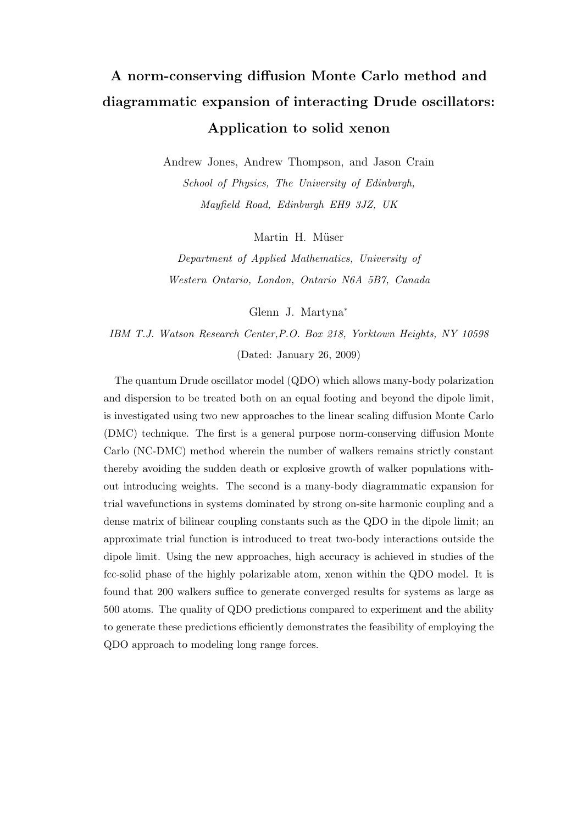# A norm-conserving diffusion Monte Carlo method and diagrammatic expansion of interacting Drude oscillators: Application to solid xenon

Andrew Jones, Andrew Thompson, and Jason Crain School of Physics, The University of Edinburgh, Mayfield Road, Edinburgh EH9 3JZ, UK

Martin H. Müser

Department of Applied Mathematics, University of Western Ontario, London, Ontario N6A 5B7, Canada

Glenn J. Martyna<sup>∗</sup>

IBM T.J. Watson Research Center,P.O. Box 218, Yorktown Heights, NY 10598 (Dated: January 26, 2009)

The quantum Drude oscillator model (QDO) which allows many-body polarization and dispersion to be treated both on an equal footing and beyond the dipole limit, is investigated using two new approaches to the linear scaling diffusion Monte Carlo (DMC) technique. The first is a general purpose norm-conserving diffusion Monte Carlo (NC-DMC) method wherein the number of walkers remains strictly constant thereby avoiding the sudden death or explosive growth of walker populations without introducing weights. The second is a many-body diagrammatic expansion for trial wavefunctions in systems dominated by strong on-site harmonic coupling and a dense matrix of bilinear coupling constants such as the QDO in the dipole limit; an approximate trial function is introduced to treat two-body interactions outside the dipole limit. Using the new approaches, high accuracy is achieved in studies of the fcc-solid phase of the highly polarizable atom, xenon within the QDO model. It is found that 200 walkers suffice to generate converged results for systems as large as 500 atoms. The quality of QDO predictions compared to experiment and the ability to generate these predictions efficiently demonstrates the feasibility of employing the QDO approach to modeling long range forces.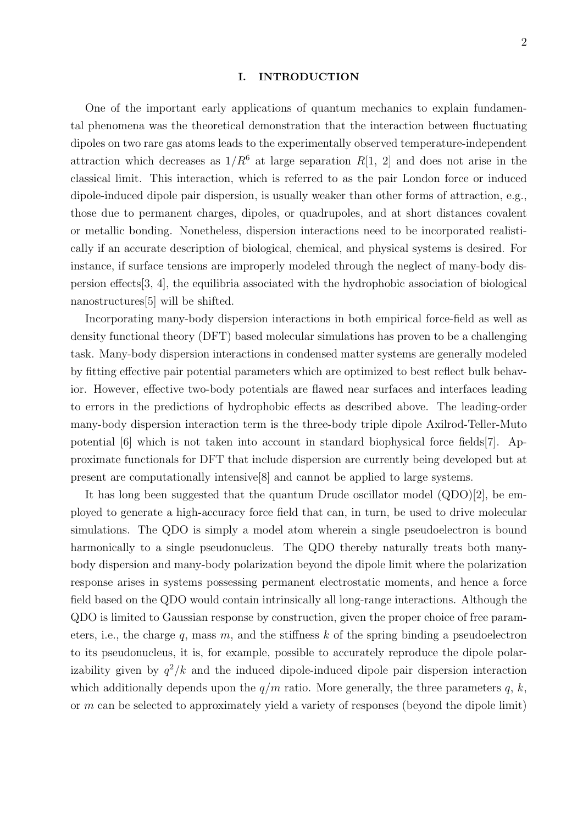#### I. INTRODUCTION

One of the important early applications of quantum mechanics to explain fundamental phenomena was the theoretical demonstration that the interaction between fluctuating dipoles on two rare gas atoms leads to the experimentally observed temperature-independent attraction which decreases as  $1/R^6$  at large separation R[1, 2] and does not arise in the classical limit. This interaction, which is referred to as the pair London force or induced dipole-induced dipole pair dispersion, is usually weaker than other forms of attraction, e.g., those due to permanent charges, dipoles, or quadrupoles, and at short distances covalent or metallic bonding. Nonetheless, dispersion interactions need to be incorporated realistically if an accurate description of biological, chemical, and physical systems is desired. For instance, if surface tensions are improperly modeled through the neglect of many-body dispersion effects[3, 4], the equilibria associated with the hydrophobic association of biological nanostructures[5] will be shifted.

Incorporating many-body dispersion interactions in both empirical force-field as well as density functional theory (DFT) based molecular simulations has proven to be a challenging task. Many-body dispersion interactions in condensed matter systems are generally modeled by fitting effective pair potential parameters which are optimized to best reflect bulk behavior. However, effective two-body potentials are flawed near surfaces and interfaces leading to errors in the predictions of hydrophobic effects as described above. The leading-order many-body dispersion interaction term is the three-body triple dipole Axilrod-Teller-Muto potential [6] which is not taken into account in standard biophysical force fields[7]. Approximate functionals for DFT that include dispersion are currently being developed but at present are computationally intensive[8] and cannot be applied to large systems.

It has long been suggested that the quantum Drude oscillator model (QDO)[2], be employed to generate a high-accuracy force field that can, in turn, be used to drive molecular simulations. The QDO is simply a model atom wherein a single pseudoelectron is bound harmonically to a single pseudonucleus. The QDO thereby naturally treats both manybody dispersion and many-body polarization beyond the dipole limit where the polarization response arises in systems possessing permanent electrostatic moments, and hence a force field based on the QDO would contain intrinsically all long-range interactions. Although the QDO is limited to Gaussian response by construction, given the proper choice of free parameters, i.e., the charge q, mass  $m$ , and the stiffness  $k$  of the spring binding a pseudoelectron to its pseudonucleus, it is, for example, possible to accurately reproduce the dipole polarizability given by  $q^2/k$  and the induced dipole-induced dipole pair dispersion interaction which additionally depends upon the  $q/m$  ratio. More generally, the three parameters  $q, k$ , or  $m$  can be selected to approximately yield a variety of responses (beyond the dipole limit)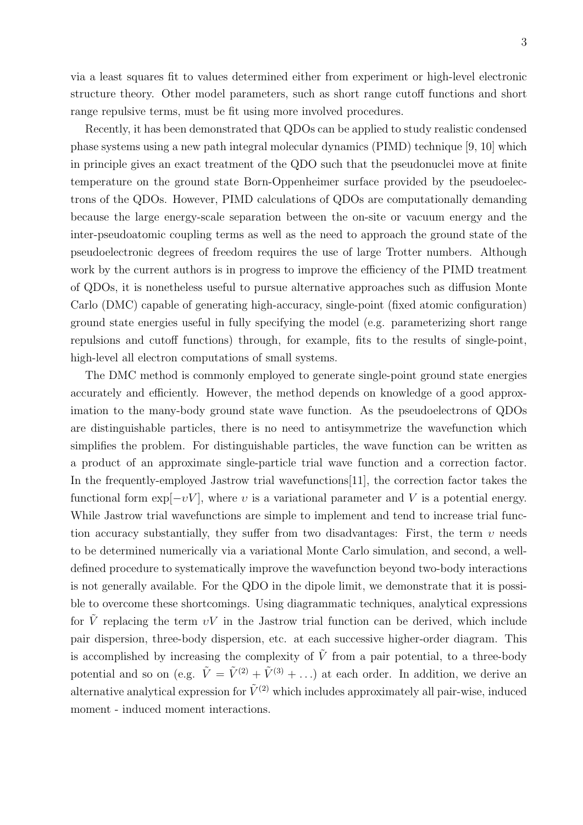via a least squares fit to values determined either from experiment or high-level electronic structure theory. Other model parameters, such as short range cutoff functions and short range repulsive terms, must be fit using more involved procedures.

Recently, it has been demonstrated that QDOs can be applied to study realistic condensed phase systems using a new path integral molecular dynamics (PIMD) technique [9, 10] which in principle gives an exact treatment of the QDO such that the pseudonuclei move at finite temperature on the ground state Born-Oppenheimer surface provided by the pseudoelectrons of the QDOs. However, PIMD calculations of QDOs are computationally demanding because the large energy-scale separation between the on-site or vacuum energy and the inter-pseudoatomic coupling terms as well as the need to approach the ground state of the pseudoelectronic degrees of freedom requires the use of large Trotter numbers. Although work by the current authors is in progress to improve the efficiency of the PIMD treatment of QDOs, it is nonetheless useful to pursue alternative approaches such as diffusion Monte Carlo (DMC) capable of generating high-accuracy, single-point (fixed atomic configuration) ground state energies useful in fully specifying the model (e.g. parameterizing short range repulsions and cutoff functions) through, for example, fits to the results of single-point, high-level all electron computations of small systems.

The DMC method is commonly employed to generate single-point ground state energies accurately and efficiently. However, the method depends on knowledge of a good approximation to the many-body ground state wave function. As the pseudoelectrons of QDOs are distinguishable particles, there is no need to antisymmetrize the wavefunction which simplifies the problem. For distinguishable particles, the wave function can be written as a product of an approximate single-particle trial wave function and a correction factor. In the frequently-employed Jastrow trial wavefunctions[11], the correction factor takes the functional form  $\exp[-vV]$ , where v is a variational parameter and V is a potential energy. While Jastrow trial wavefunctions are simple to implement and tend to increase trial function accuracy substantially, they suffer from two disadvantages: First, the term  $\nu$  needs to be determined numerically via a variational Monte Carlo simulation, and second, a welldefined procedure to systematically improve the wavefunction beyond two-body interactions is not generally available. For the QDO in the dipole limit, we demonstrate that it is possible to overcome these shortcomings. Using diagrammatic techniques, analytical expressions for  $\tilde{V}$  replacing the term  $vV$  in the Jastrow trial function can be derived, which include pair dispersion, three-body dispersion, etc. at each successive higher-order diagram. This is accomplished by increasing the complexity of  $\tilde{V}$  from a pair potential, to a three-body potential and so on (e.g.  $\tilde{V} = \tilde{V}^{(2)} + \tilde{V}^{(3)} + ...$ ) at each order. In addition, we derive an alternative analytical expression for  $\tilde{V}^{(2)}$  which includes approximately all pair-wise, induced moment - induced moment interactions.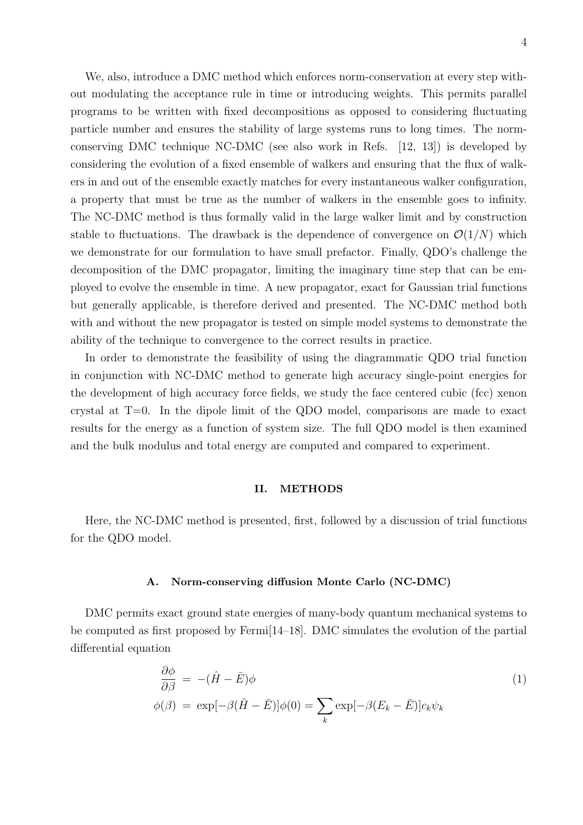We, also, introduce a DMC method which enforces norm-conservation at every step without modulating the acceptance rule in time or introducing weights. This permits parallel programs to be written with fixed decompositions as opposed to considering fluctuating particle number and ensures the stability of large systems runs to long times. The normconserving DMC technique NC-DMC (see also work in Refs. [12, 13]) is developed by considering the evolution of a fixed ensemble of walkers and ensuring that the flux of walkers in and out of the ensemble exactly matches for every instantaneous walker configuration, a property that must be true as the number of walkers in the ensemble goes to infinity. The NC-DMC method is thus formally valid in the large walker limit and by construction stable to fluctuations. The drawback is the dependence of convergence on  $\mathcal{O}(1/N)$  which we demonstrate for our formulation to have small prefactor. Finally, QDO's challenge the decomposition of the DMC propagator, limiting the imaginary time step that can be employed to evolve the ensemble in time. A new propagator, exact for Gaussian trial functions but generally applicable, is therefore derived and presented. The NC-DMC method both with and without the new propagator is tested on simple model systems to demonstrate the ability of the technique to convergence to the correct results in practice.

In order to demonstrate the feasibility of using the diagrammatic QDO trial function in conjunction with NC-DMC method to generate high accuracy single-point energies for the development of high accuracy force fields, we study the face centered cubic (fcc) xenon crystal at  $T=0$ . In the dipole limit of the QDO model, comparisons are made to exact results for the energy as a function of system size. The full QDO model is then examined and the bulk modulus and total energy are computed and compared to experiment.

## II. METHODS

Here, the NC-DMC method is presented, first, followed by a discussion of trial functions for the QDO model.

## A. Norm-conserving diffusion Monte Carlo (NC-DMC)

DMC permits exact ground state energies of many-body quantum mechanical systems to be computed as first proposed by Fermi[14–18]. DMC simulates the evolution of the partial differential equation

$$
\frac{\partial \phi}{\partial \beta} = -(\hat{H} - \bar{E})\phi
$$
\n
$$
\phi(\beta) = \exp[-\beta(\hat{H} - \bar{E})]\phi(0) = \sum_{k} \exp[-\beta(E_k - \bar{E})]c_k\psi_k
$$
\n(1)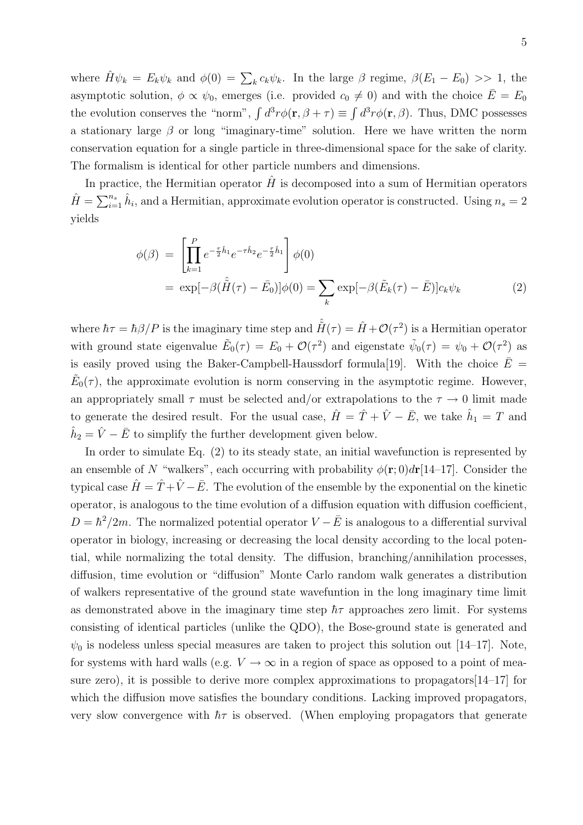where  $\hat{H}\psi_k = E_k \psi_k$  and  $\phi(0) = \sum_k c_k \psi_k$ . In the large  $\beta$  regime,  $\beta(E_1 - E_0) >> 1$ , the asymptotic solution,  $\phi \propto \psi_0$ , emerges (i.e. provided  $c_0 \neq 0$ ) and with the choice  $\overline{E} = E_0$ the evolution conserves the "norm",  $\int d^3r \phi(\mathbf{r}, \beta + \tau) \equiv \int d^3r \phi(\mathbf{r}, \beta)$ . Thus, DMC possesses a stationary large  $\beta$  or long "imaginary-time" solution. Here we have written the norm conservation equation for a single particle in three-dimensional space for the sake of clarity. The formalism is identical for other particle numbers and dimensions.

In practice, the Hermitian operator  $\hat{H}$  is decomposed into a sum of Hermitian operators  $\hat{H} = \sum_{i=1}^{n_s} \hat{h}_i$ , and a Hermitian, approximate evolution operator is constructed. Using  $n_s = 2$ yields

$$
\phi(\beta) = \left[ \prod_{k=1}^{P} e^{-\frac{\tau}{2} \hat{h}_1} e^{-\tau \hat{h}_2} e^{-\frac{\tau}{2} \hat{h}_1} \right] \phi(0)
$$
  
=  $\exp[-\beta (\hat{H}(\tau) - \bar{E}_0)] \phi(0) = \sum_{k} \exp[-\beta (\tilde{E}_k(\tau) - \bar{E})] c_k \psi_k$  (2)

where  $\hbar\tau = \hbar\beta/P$  is the imaginary time step and  $\hat{H}(\tau) = \hat{H} + \mathcal{O}(\tau^2)$  is a Hermitian operator with ground state eigenvalue  $\tilde{E}_0(\tau) = E_0 + \mathcal{O}(\tau^2)$  and eigenstate  $\tilde{\psi}_0(\tau) = \psi_0 + \mathcal{O}(\tau^2)$  as is easily proved using the Baker-Campbell-Haussdorf formula<sup>[19]</sup>. With the choice  $\bar{E}$  =  $\tilde{E}_0(\tau)$ , the approximate evolution is norm conserving in the asymptotic regime. However, an appropriately small  $\tau$  must be selected and/or extrapolations to the  $\tau \to 0$  limit made to generate the desired result. For the usual case,  $\hat{H} = \hat{T} + \hat{V} - \bar{E}$ , we take  $\hat{h}_1 = T$  and  $\hat{h}_2 = \hat{V} - \bar{E}$  to simplify the further development given below.

In order to simulate Eq. (2) to its steady state, an initial wavefunction is represented by an ensemble of N "walkers", each occurring with probability  $\phi(\mathbf{r};0)d\mathbf{r}[14-17]$ . Consider the typical case  $\hat{H} = \hat{T} + \hat{V} - \bar{E}$ . The evolution of the ensemble by the exponential on the kinetic operator, is analogous to the time evolution of a diffusion equation with diffusion coefficient,  $D = \hbar^2/2m$ . The normalized potential operator  $V - \bar{E}$  is analogous to a differential survival operator in biology, increasing or decreasing the local density according to the local potential, while normalizing the total density. The diffusion, branching/annihilation processes, diffusion, time evolution or "diffusion" Monte Carlo random walk generates a distribution of walkers representative of the ground state wavefuntion in the long imaginary time limit as demonstrated above in the imaginary time step  $\hbar\tau$  approaches zero limit. For systems consisting of identical particles (unlike the QDO), the Bose-ground state is generated and  $\psi_0$  is nodeless unless special measures are taken to project this solution out [14–17]. Note, for systems with hard walls (e.g.  $V \to \infty$  in a region of space as opposed to a point of measure zero), it is possible to derive more complex approximations to propagators[14–17] for which the diffusion move satisfies the boundary conditions. Lacking improved propagators, very slow convergence with  $\hbar\tau$  is observed. (When employing propagators that generate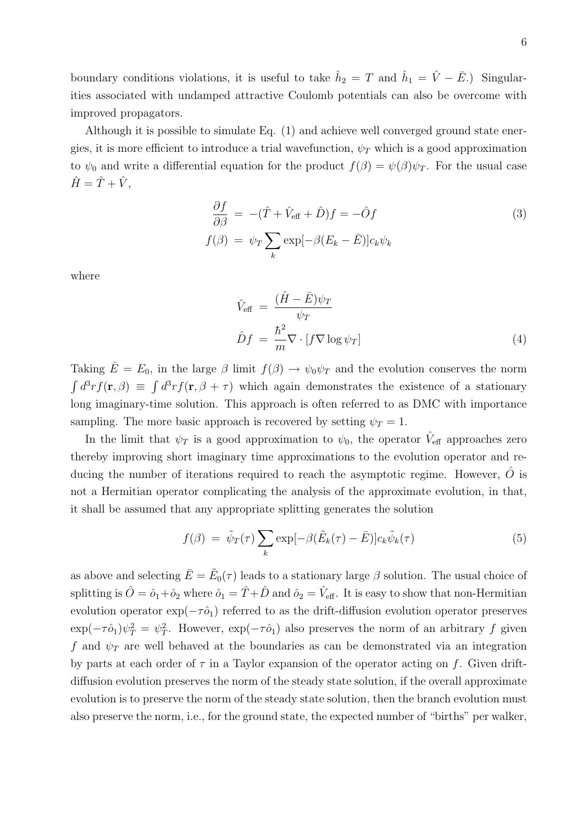boundary conditions violations, it is useful to take  $\hat{h}_2 = T$  and  $\hat{h}_1 = \hat{V} - \bar{E}$ .) Singularities associated with undamped attractive Coulomb potentials can also be overcome with improved propagators.

Although it is possible to simulate Eq. (1) and achieve well converged ground state energies, it is more efficient to introduce a trial wavefunction,  $\psi_T$  which is a good approximation to  $\psi_0$  and write a differential equation for the product  $f(\beta) = \psi(\beta)\psi_T$ . For the usual case  $\hat{H} = \hat{T} + \hat{V}$ ,

$$
\frac{\partial f}{\partial \beta} = -(\hat{T} + \hat{V}_{\text{eff}} + \hat{D})f = -\hat{O}f
$$
  

$$
f(\beta) = \psi_T \sum_k \exp[-\beta(E_k - \bar{E})]c_k \psi_k
$$
 (3)

where

$$
\hat{V}_{\text{eff}} = \frac{(\hat{H} - \bar{E})\psi_T}{\psi_T}
$$
\n
$$
\hat{D}f = \frac{\hbar^2}{m} \nabla \cdot [f \nabla \log \psi_T]
$$
\n(4)

Taking  $\bar{E} = E_0$ , in the large  $\beta$  limit  $f(\beta) \to \psi_0 \psi_T$  and the evolution conserves the norm  $\int d^3r f(\mathbf{r}, \beta) \equiv \int d^3r f(\mathbf{r}, \beta + \tau)$  which again demonstrates the existence of a stationary long imaginary-time solution. This approach is often referred to as DMC with importance sampling. The more basic approach is recovered by setting  $\psi_T = 1$ .

In the limit that  $\psi_T$  is a good approximation to  $\psi_0$ , the operator  $\hat{V}_{\text{eff}}$  approaches zero thereby improving short imaginary time approximations to the evolution operator and reducing the number of iterations required to reach the asymptotic regime. However,  $O$  is not a Hermitian operator complicating the analysis of the approximate evolution, in that, it shall be assumed that any appropriate splitting generates the solution

$$
f(\beta) = \tilde{\psi}_T(\tau) \sum_k \exp[-\beta(\tilde{E}_k(\tau) - \bar{E})] c_k \tilde{\psi}_k(\tau)
$$
\n(5)

as above and selecting  $\bar{E} = \tilde{E}_0(\tau)$  leads to a stationary large  $\beta$  solution. The usual choice of splitting is  $\hat{O} = \hat{o}_1 + \hat{o}_2$  where  $\hat{o}_1 = \hat{T} + \hat{D}$  and  $\hat{o}_2 = \hat{V}_{\text{eff}}$ . It is easy to show that non-Hermitian evolution operator  $\exp(-\tau \hat{o}_1)$  referred to as the drift-diffusion evolution operator preserves  $\exp(-\tau \hat{\sigma}_1) \psi_T^2 = \psi_T^2$ . However,  $\exp(-\tau \hat{\sigma}_1)$  also preserves the norm of an arbitrary f given f and  $\psi_T$  are well behaved at the boundaries as can be demonstrated via an integration by parts at each order of  $\tau$  in a Taylor expansion of the operator acting on f. Given driftdiffusion evolution preserves the norm of the steady state solution, if the overall approximate evolution is to preserve the norm of the steady state solution, then the branch evolution must also preserve the norm, i.e., for the ground state, the expected number of "births" per walker,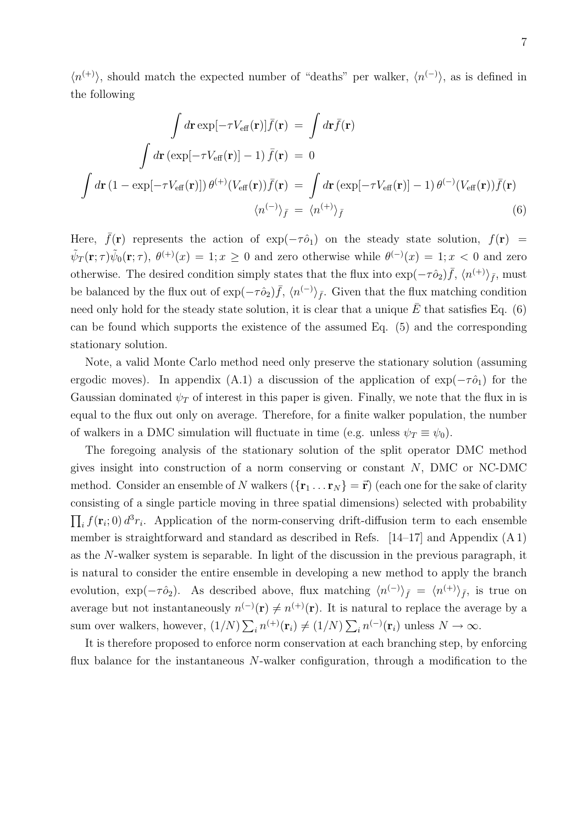$\langle n^{(+)}\rangle$ , should match the expected number of "deaths" per walker,  $\langle n^{(-)}\rangle$ , as is defined in the following

$$
\int d\mathbf{r} \exp[-\tau V_{\text{eff}}(\mathbf{r})]\bar{f}(\mathbf{r}) = \int d\mathbf{r}\bar{f}(\mathbf{r})
$$
\n
$$
\int d\mathbf{r} \left(\exp[-\tau V_{\text{eff}}(\mathbf{r})] - 1\right)\bar{f}(\mathbf{r}) = 0
$$
\n
$$
\int d\mathbf{r} \left(1 - \exp[-\tau V_{\text{eff}}(\mathbf{r})]\right) \theta^{(+)}(V_{\text{eff}}(\mathbf{r}))\bar{f}(\mathbf{r}) = \int d\mathbf{r} \left(\exp[-\tau V_{\text{eff}}(\mathbf{r})] - 1\right) \theta^{(-)}(V_{\text{eff}}(\mathbf{r}))\bar{f}(\mathbf{r})
$$
\n
$$
\langle n^{(-)} \rangle_{\bar{f}} = \langle n^{(+)} \rangle_{\bar{f}} \tag{6}
$$

Here,  $\bar{f}(\mathbf{r})$  represents the action of exp( $-\tau \hat{o}_1$ ) on the steady state solution,  $f(\mathbf{r}) =$  $\tilde{\psi}_T(\mathbf{r};\tau)\tilde{\psi}_0(\mathbf{r};\tau)$ ,  $\theta^{(+)}(x) = 1; x \ge 0$  and zero otherwise while  $\theta^{(-)}(x) = 1; x < 0$  and zero otherwise. The desired condition simply states that the flux into  $\exp(-\tau \hat{\phi}_2) \bar{f}$ ,  $\langle n^{(+)} \rangle_{\bar{f}}$ , must be balanced by the flux out of  $\exp(-\tau \hat{\phi}_2) \bar{f}$ ,  $\langle n^{(-)} \rangle_{\bar{f}}$ . Given that the flux matching condition need only hold for the steady state solution, it is clear that a unique  $\overline{E}$  that satisfies Eq. (6) can be found which supports the existence of the assumed Eq. (5) and the corresponding stationary solution.

Note, a valid Monte Carlo method need only preserve the stationary solution (assuming ergodic moves). In appendix (A.1) a discussion of the application of  $\exp(-\tau \hat{O}_1)$  for the Gaussian dominated  $\psi_T$  of interest in this paper is given. Finally, we note that the flux in is equal to the flux out only on average. Therefore, for a finite walker population, the number of walkers in a DMC simulation will fluctuate in time (e.g. unless  $\psi_T \equiv \psi_0$ ).

The foregoing analysis of the stationary solution of the split operator DMC method gives insight into construction of a norm conserving or constant  $N$ , DMC or NC-DMC method. Consider an ensemble of N walkers  $({\{r_1 \ldots r_N\}} = \vec{r})$  (each one for the sake of clarity consisting of a single particle moving in three spatial dimensions) selected with probability  $\prod_i f(\mathbf{r}_i; 0) d^3 r_i$ . Application of the norm-conserving drift-diffusion term to each ensemble member is straightforward and standard as described in Refs. [14–17] and Appendix (A 1) as the N-walker system is separable. In light of the discussion in the previous paragraph, it is natural to consider the entire ensemble in developing a new method to apply the branch evolution, exp $(-\tau \hat{\phi}_2)$ . As described above, flux matching  $\langle n^{(-)} \rangle_{\bar{f}} = \langle n^{(+)} \rangle_{\bar{f}}$ , is true on average but not instantaneously  $n^{(-)}(\mathbf{r}) \neq n^{(+)}(\mathbf{r})$ . It is natural to replace the average by a sum over walkers, however,  $(1/N) \sum_i n^{(+)}(\mathbf{r}_i) \neq (1/N) \sum_i n^{(-)}(\mathbf{r}_i)$  unless  $N \to \infty$ .

It is therefore proposed to enforce norm conservation at each branching step, by enforcing flux balance for the instantaneous N-walker configuration, through a modification to the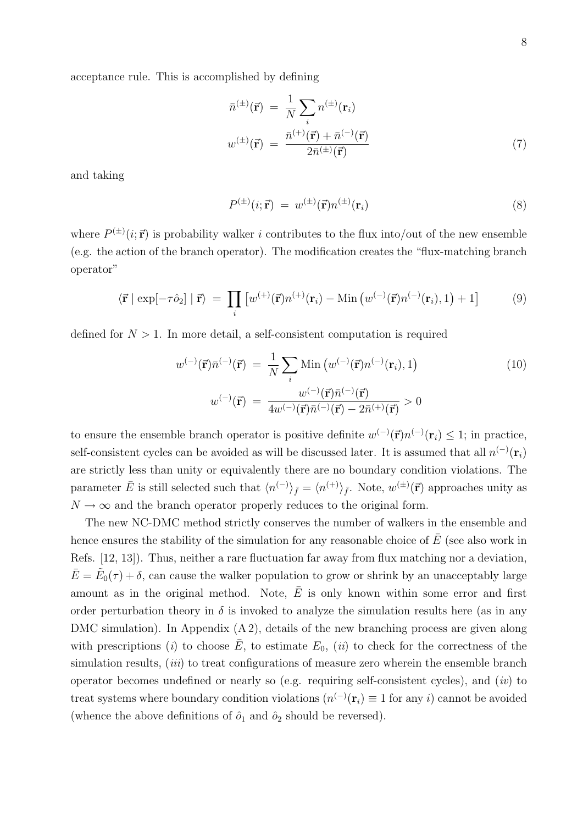acceptance rule. This is accomplished by defining

$$
\bar{n}^{(\pm)}(\vec{\mathbf{r}}) = \frac{1}{N} \sum_{i} n^{(\pm)}(\mathbf{r}_{i})
$$
\n
$$
w^{(\pm)}(\vec{\mathbf{r}}) = \frac{\bar{n}^{(+)}(\vec{\mathbf{r}}) + \bar{n}^{(-)}(\vec{\mathbf{r}})}{2\bar{n}^{(\pm)}(\vec{\mathbf{r}})}
$$
\n(7)

and taking

$$
P^{(\pm)}(i; \vec{\mathbf{r}}) = w^{(\pm)}(\vec{\mathbf{r}}) n^{(\pm)}(\mathbf{r}_i)
$$
\n(8)

where  $P^{(\pm)}(i;\vec{r})$  is probability walker i contributes to the flux into/out of the new ensemble (e.g. the action of the branch operator). The modification creates the "flux-matching branch operator"

$$
\langle \vec{\mathbf{r}} \mid \exp[-\tau \hat{\mathbf{o}}_2] \mid \vec{\mathbf{r}} \rangle = \prod_i \left[ w^{(+)}(\vec{\mathbf{r}}) n^{(+)}(\mathbf{r}_i) - \text{Min} \left( w^{(-)}(\vec{\mathbf{r}}) n^{(-)}(\mathbf{r}_i), 1 \right) + 1 \right] \tag{9}
$$

defined for  $N > 1$ . In more detail, a self-consistent computation is required

$$
w^{(-)}(\vec{\mathbf{r}})\bar{n}^{(-)}(\vec{\mathbf{r}}) = \frac{1}{N} \sum_{i} \text{Min}\left(w^{(-)}(\vec{\mathbf{r}})n^{(-)}(\mathbf{r}_{i}), 1\right)
$$
  

$$
w^{(-)}(\vec{\mathbf{r}}) = \frac{w^{(-)}(\vec{\mathbf{r}})\bar{n}^{(-)}(\vec{\mathbf{r}})}{4w^{(-)}(\vec{\mathbf{r}})\bar{n}^{(-)}(\vec{\mathbf{r}}) - 2\bar{n}^{(+)}(\vec{\mathbf{r}})} > 0
$$
 (10)

to ensure the ensemble branch operator is positive definite  $w^{(-)}(\vec{r})n^{(-)}(\mathbf{r}_i) \leq 1$ ; in practice, self-consistent cycles can be avoided as will be discussed later. It is assumed that all  $n^{(-)}(\mathbf{r}_i)$ are strictly less than unity or equivalently there are no boundary condition violations. The parameter  $\bar{E}$  is still selected such that  $\langle n^{(-)} \rangle_{\bar{f}} = \langle n^{(+)} \rangle_{\bar{f}}$ . Note,  $w^{(\pm)}(\vec{r})$  approaches unity as  $N \to \infty$  and the branch operator properly reduces to the original form.

The new NC-DMC method strictly conserves the number of walkers in the ensemble and hence ensures the stability of the simulation for any reasonable choice of  $\overline{E}$  (see also work in Refs. [12, 13]). Thus, neither a rare fluctuation far away from flux matching nor a deviation,  $\bar{E} = \tilde{E}_0(\tau) + \delta$ , can cause the walker population to grow or shrink by an unacceptably large amount as in the original method. Note,  $\overline{E}$  is only known within some error and first order perturbation theory in  $\delta$  is invoked to analyze the simulation results here (as in any DMC simulation). In Appendix  $(A 2)$ , details of the new branching process are given along with prescriptions (i) to choose  $E$ , to estimate  $E_0$ , (ii) to check for the correctness of the simulation results,  $(iii)$  to treat configurations of measure zero wherein the ensemble branch operator becomes undefined or nearly so (e.g. requiring self-consistent cycles), and  $(iv)$  to treat systems where boundary condition violations  $(n^{(-)}(\mathbf{r}_i) \equiv 1$  for any i) cannot be avoided (whence the above definitions of  $\hat{o}_1$  and  $\hat{o}_2$  should be reversed).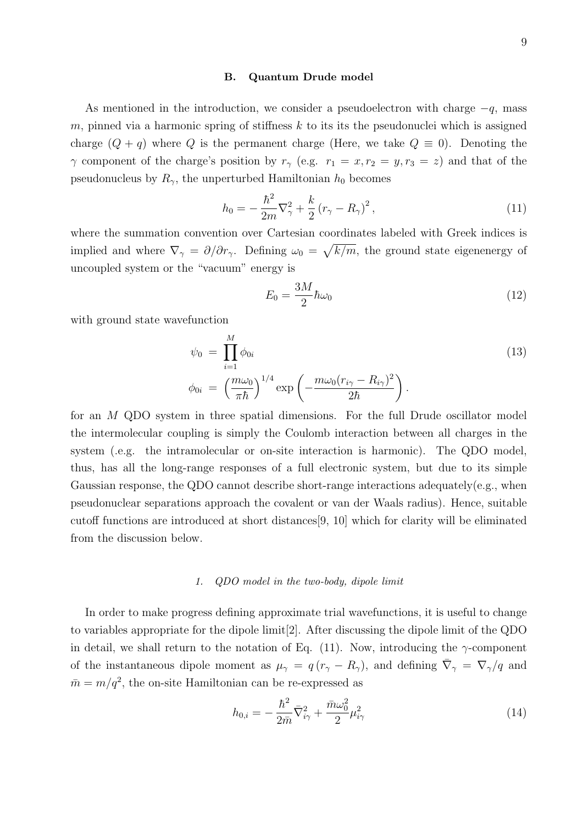#### B. Quantum Drude model

As mentioned in the introduction, we consider a pseudoelectron with charge  $-q$ , mass m, pinned via a harmonic spring of stiffness  $k$  to its its the pseudonuclei which is assigned charge  $(Q + q)$  where Q is the permanent charge (Here, we take  $Q \equiv 0$ ). Denoting the  $\gamma$  component of the charge's position by  $r_{\gamma}$  (e.g.  $r_1 = x, r_2 = y, r_3 = z$ ) and that of the pseudonucleus by  $R_{\gamma}$ , the unperturbed Hamiltonian  $h_0$  becomes

$$
h_0 = -\frac{\hbar^2}{2m}\nabla_{\gamma}^2 + \frac{k}{2}\left(r_{\gamma} - R_{\gamma}\right)^2,\tag{11}
$$

where the summation convention over Cartesian coordinates labeled with Greek indices is implied and where  $\nabla_{\gamma} = \partial/\partial r_{\gamma}$ . Defining  $\omega_0 = \sqrt{k/m}$ , the ground state eigenenergy of uncoupled system or the "vacuum" energy is

$$
E_0 = \frac{3M}{2} \hbar \omega_0 \tag{12}
$$

with ground state wavefunction

$$
\psi_0 = \prod_{i=1}^M \phi_{0i}
$$
\n
$$
\phi_{0i} = \left(\frac{m\omega_0}{\pi\hbar}\right)^{1/4} \exp\left(-\frac{m\omega_0 (r_{i\gamma} - R_{i\gamma})^2}{2\hbar}\right).
$$
\n(13)

for an M QDO system in three spatial dimensions. For the full Drude oscillator model the intermolecular coupling is simply the Coulomb interaction between all charges in the system (.e.g. the intramolecular or on-site interaction is harmonic). The QDO model, thus, has all the long-range responses of a full electronic system, but due to its simple Gaussian response, the QDO cannot describe short-range interactions adequately(e.g., when pseudonuclear separations approach the covalent or van der Waals radius). Hence, suitable cutoff functions are introduced at short distances[9, 10] which for clarity will be eliminated from the discussion below.

## 1. QDO model in the two-body, dipole limit

In order to make progress defining approximate trial wavefunctions, it is useful to change to variables appropriate for the dipole limit[2]. After discussing the dipole limit of the QDO in detail, we shall return to the notation of Eq. (11). Now, introducing the  $\gamma$ -component of the instantaneous dipole moment as  $\mu_{\gamma} = q(r_{\gamma} - R_{\gamma})$ , and defining  $\bar{\nabla}_{\gamma} = \nabla_{\gamma}/q$  and  $\bar{m} = m/q^2$ , the on-site Hamiltonian can be re-expressed as

$$
h_{0,i} = -\frac{\hbar^2}{2\bar{m}}\bar{\nabla}_{i\gamma}^2 + \frac{\bar{m}\omega_0^2}{2}\mu_{i\gamma}^2
$$
\n(14)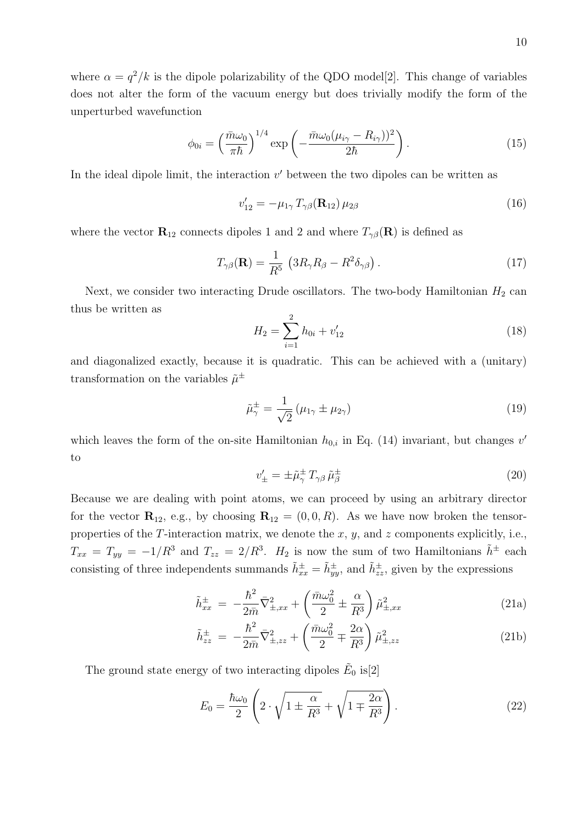$$
\phi_{0i} = \left(\frac{\bar{m}\omega_0}{\pi\hbar}\right)^{1/4} \exp\left(-\frac{\bar{m}\omega_0(\mu_{i\gamma} - R_{i\gamma}))^2}{2\hbar}\right). \tag{15}
$$

In the ideal dipole limit, the interaction  $v'$  between the two dipoles can be written as

$$
v'_{12} = -\mu_{1\gamma} T_{\gamma\beta}(\mathbf{R}_{12}) \,\mu_{2\beta} \tag{16}
$$

where the vector  $\mathbf{R}_{12}$  connects dipoles 1 and 2 and where  $T_{\gamma\beta}(\mathbf{R})$  is defined as

$$
T_{\gamma\beta}(\mathbf{R}) = \frac{1}{R^5} \left( 3R_{\gamma}R_{\beta} - R^2 \delta_{\gamma\beta} \right). \tag{17}
$$

Next, we consider two interacting Drude oscillators. The two-body Hamiltonian  $H_2$  can thus be written as

$$
H_2 = \sum_{i=1}^{2} h_{0i} + v'_{12}
$$
 (18)

and diagonalized exactly, because it is quadratic. This can be achieved with a (unitary) transformation on the variables  $\tilde{\mu}^{\pm}$ 

$$
\tilde{\mu}_{\gamma}^{\pm} = \frac{1}{\sqrt{2}} \left( \mu_{1\gamma} \pm \mu_{2\gamma} \right) \tag{19}
$$

which leaves the form of the on-site Hamiltonian  $h_{0,i}$  in Eq. (14) invariant, but changes v' to

$$
v'_{\pm} = \pm \tilde{\mu}_{\gamma}^{\pm} T_{\gamma\beta} \tilde{\mu}_{\beta}^{\pm} \tag{20}
$$

Because we are dealing with point atoms, we can proceed by using an arbitrary director for the vector  $\mathbf{R}_{12}$ , e.g., by choosing  $\mathbf{R}_{12} = (0, 0, R)$ . As we have now broken the tensorproperties of the T-interaction matrix, we denote the  $x, y$ , and  $z$  components explicitly, i.e.,  $T_{xx} = T_{yy} = -1/R^3$  and  $T_{zz} = 2/R^3$ .  $H_2$  is now the sum of two Hamiltonians  $\tilde{h}^{\pm}$  each consisting of three independents summands  $\tilde{h}_{xx}^{\pm} = \tilde{h}_{yy}^{\pm}$ , and  $\tilde{h}_{zz}^{\pm}$ , given by the expressions

$$
\tilde{h}_{xx}^{\pm} = -\frac{\hbar^2}{2\bar{m}}\bar{\nabla}_{\pm,xx}^2 + \left(\frac{\bar{m}\omega_0^2}{2} \pm \frac{\alpha}{R^3}\right)\tilde{\mu}_{\pm,xx}^2 \tag{21a}
$$

$$
\tilde{h}_{zz}^{\pm} = -\frac{\hbar^2}{2\bar{m}} \bar{\nabla}_{\pm,zz}^2 + \left(\frac{\bar{m}\omega_0^2}{2} \mp \frac{2\alpha}{R^3}\right) \tilde{\mu}_{\pm,zz}^2 \tag{21b}
$$

The ground state energy of two interacting dipoles  $\tilde{E}_0$  is[2]

$$
E_0 = \frac{\hbar\omega_0}{2} \left( 2 \cdot \sqrt{1 \pm \frac{\alpha}{R^3}} + \sqrt{1 \mp \frac{2\alpha}{R^3}} \right). \tag{22}
$$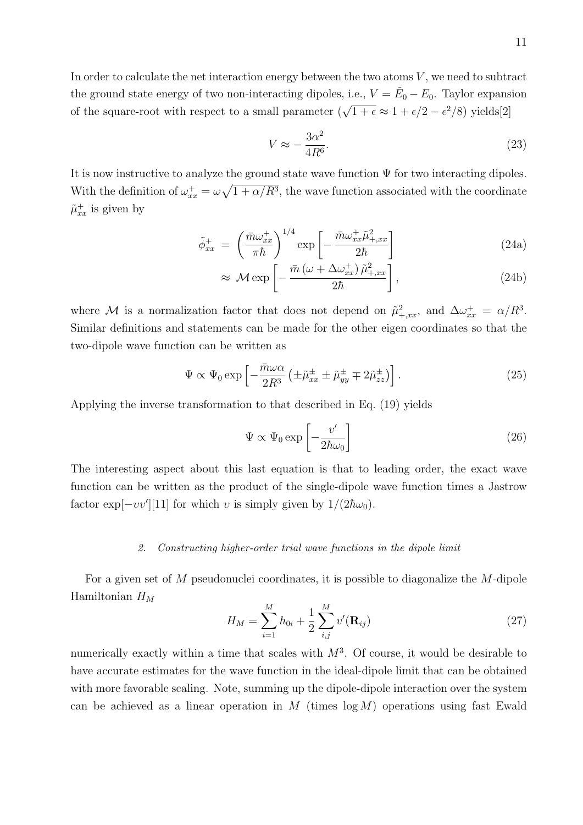In order to calculate the net interaction energy between the two atoms  $V$ , we need to subtract the ground state energy of two non-interacting dipoles, i.e.,  $V = \tilde{E}_0 - E_0$ . Taylor expansion of the square-root with respect to a small parameter  $(\sqrt{1+\epsilon} \approx 1 + \epsilon/2 - \epsilon^2/8)$  yields[2]

$$
V \approx -\frac{3\alpha^2}{4R^6}.\tag{23}
$$

It is now instructive to analyze the ground state wave function  $\Psi$  for two interacting dipoles. With the definition of  $\omega_{xx}^+ = \omega \sqrt{1 + \alpha/R^3}$ , the wave function associated with the coordinate  $\tilde{\mu}_{xx}^{+}$  is given by

$$
\tilde{\phi}_{xx}^{+} = \left(\frac{\bar{m}\omega_{xx}^{+}}{\pi\hbar}\right)^{1/4} \exp\left[-\frac{\bar{m}\omega_{xx}^{+}\tilde{\mu}_{+,xx}^{2}}{2\hbar}\right]
$$
\n(24a)

$$
\approx \mathcal{M} \exp\left[-\frac{\bar{m}\left(\omega + \Delta\omega_{xx}^+\right)\tilde{\mu}_{+,xx}^2}{2\hbar}\right],\tag{24b}
$$

where M is a normalization factor that does not depend on  $\tilde{\mu}^2_{+,xx}$ , and  $\Delta \omega_{xx}^+ = \alpha/R^3$ . Similar definitions and statements can be made for the other eigen coordinates so that the two-dipole wave function can be written as

$$
\Psi \propto \Psi_0 \exp\left[-\frac{\bar{m}\omega\alpha}{2R^3} \left(\pm \tilde{\mu}_{xx}^{\pm} \pm \tilde{\mu}_{yy}^{\pm} \mp 2\tilde{\mu}_{zz}^{\pm}\right)\right].
$$
\n(25)

Applying the inverse transformation to that described in Eq. (19) yields

$$
\Psi \propto \Psi_0 \exp\left[-\frac{v'}{2\hbar\omega_0}\right] \tag{26}
$$

The interesting aspect about this last equation is that to leading order, the exact wave function can be written as the product of the single-dipole wave function times a Jastrow factor  $\exp[-vv'][11]$  for which v is simply given by  $1/(2\hbar\omega_0)$ .

## 2. Constructing higher-order trial wave functions in the dipole limit

For a given set of M pseudonuclei coordinates, it is possible to diagonalize the M-dipole Hamiltonian  $H_M$ 

$$
H_M = \sum_{i=1}^{M} h_{0i} + \frac{1}{2} \sum_{i,j}^{M} v'(\mathbf{R}_{ij})
$$
\n(27)

numerically exactly within a time that scales with  $M^3$ . Of course, it would be desirable to have accurate estimates for the wave function in the ideal-dipole limit that can be obtained with more favorable scaling. Note, summing up the dipole-dipole interaction over the system can be achieved as a linear operation in  $M$  (times  $log M$ ) operations using fast Ewald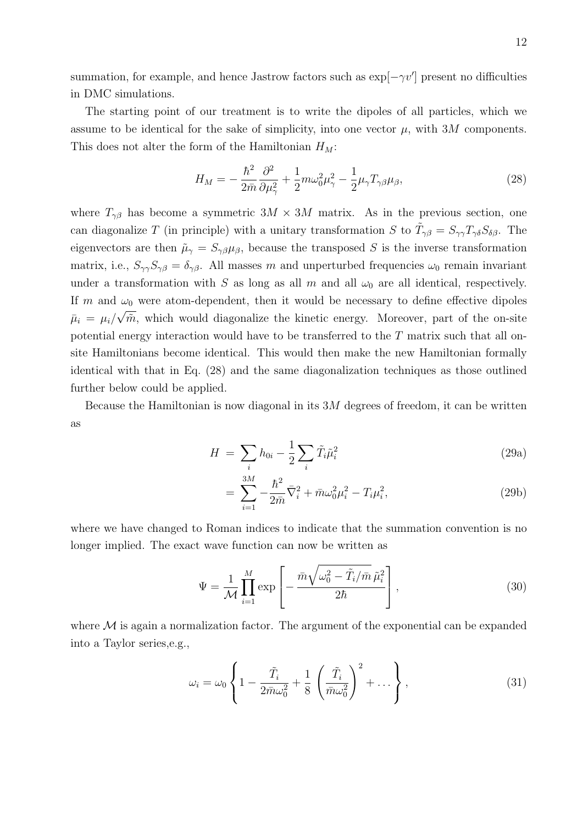summation, for example, and hence Jastrow factors such as  $\exp[-\gamma v']$  present no difficulties in DMC simulations.

The starting point of our treatment is to write the dipoles of all particles, which we assume to be identical for the sake of simplicity, into one vector  $\mu$ , with 3M components. This does not alter the form of the Hamiltonian  $H_M$ :

$$
H_M = -\frac{\hbar^2}{2\bar{m}}\frac{\partial^2}{\partial\mu_{\gamma}^2} + \frac{1}{2}m\omega_0^2\mu_{\gamma}^2 - \frac{1}{2}\mu_{\gamma}T_{\gamma\beta}\mu_{\beta},\tag{28}
$$

where  $T_{\gamma\beta}$  has become a symmetric  $3M \times 3M$  matrix. As in the previous section, one can diagonalize T (in principle) with a unitary transformation S to  $\tilde{T}_{\gamma\beta} = S_{\gamma\gamma} T_{\gamma\delta} S_{\delta\beta}$ . The eigenvectors are then  $\tilde{\mu}_{\gamma} = S_{\gamma\beta}\mu_{\beta}$ , because the transposed S is the inverse transformation matrix, i.e.,  $S_{\gamma\gamma}S_{\gamma\beta}=\delta_{\gamma\beta}$ . All masses m and unperturbed frequencies  $\omega_0$  remain invariant under a transformation with S as long as all m and all  $\omega_0$  are all identical, respectively. If m and  $\omega_0$  were atom-dependent, then it would be necessary to define effective dipoles  $\bar{\mu}_i = \mu_i / \sqrt{\tilde{m}}$ , which would diagonalize the kinetic energy. Moreover, part of the on-site potential energy interaction would have to be transferred to the T matrix such that all onsite Hamiltonians become identical. This would then make the new Hamiltonian formally identical with that in Eq. (28) and the same diagonalization techniques as those outlined further below could be applied.

Because the Hamiltonian is now diagonal in its  $3M$  degrees of freedom, it can be written as

$$
H = \sum_{i} h_{0i} - \frac{1}{2} \sum_{i} \tilde{T}_i \tilde{\mu}_i^2
$$
 (29a)

$$
= \sum_{i=1}^{3M} -\frac{\hbar^2}{2\bar{m}} \bar{\nabla}_i^2 + \bar{m}\omega_0^2 \mu_i^2 - T_i \mu_i^2, \tag{29b}
$$

where we have changed to Roman indices to indicate that the summation convention is no longer implied. The exact wave function can now be written as

$$
\Psi = \frac{1}{\mathcal{M}} \prod_{i=1}^{M} \exp\left[ -\frac{\bar{m}\sqrt{\omega_0^2 - \tilde{T}_i/\bar{m}} \tilde{\mu}_i^2}{2\hbar} \right],\tag{30}
$$

where  $M$  is again a normalization factor. The argument of the exponential can be expanded into a Taylor series,e.g.,

$$
\omega_i = \omega_0 \left\{ 1 - \frac{\tilde{T}_i}{2\bar{m}\omega_0^2} + \frac{1}{8} \left( \frac{\tilde{T}_i}{\bar{m}\omega_0^2} \right)^2 + \dots \right\},\tag{31}
$$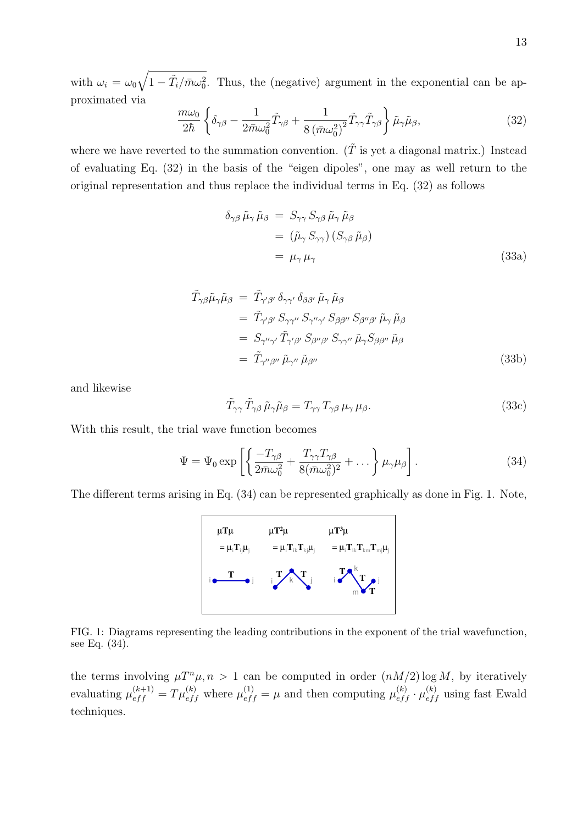with  $\omega_i = \omega_0 \sqrt{1 - \tilde{T}_i / \bar{m} \omega_0^2}$ . Thus, the (negative) argument in the exponential can be approximated via

$$
\frac{m\omega_0}{2\hbar} \left\{ \delta_{\gamma\beta} - \frac{1}{2\bar{m}\omega_0^2} \tilde{T}_{\gamma\beta} + \frac{1}{8(\bar{m}\omega_0^2)^2} \tilde{T}_{\gamma\gamma} \tilde{T}_{\gamma\beta} \right\} \tilde{\mu}_{\gamma} \tilde{\mu}_{\beta},\tag{32}
$$

where we have reverted to the summation convention.  $(\tilde{T}$  is yet a diagonal matrix.) Instead of evaluating Eq. (32) in the basis of the "eigen dipoles", one may as well return to the original representation and thus replace the individual terms in Eq. (32) as follows

$$
\delta_{\gamma\beta} \tilde{\mu}_{\gamma} \tilde{\mu}_{\beta} = S_{\gamma\gamma} S_{\gamma\beta} \tilde{\mu}_{\gamma} \tilde{\mu}_{\beta}
$$
  
=  $(\tilde{\mu}_{\gamma} S_{\gamma\gamma}) (S_{\gamma\beta} \tilde{\mu}_{\beta})$   
=  $\mu_{\gamma} \mu_{\gamma}$  (33a)

$$
\tilde{T}_{\gamma\beta}\tilde{\mu}_{\gamma}\tilde{\mu}_{\beta} = \tilde{T}_{\gamma'\beta'} \delta_{\gamma\gamma'} \delta_{\beta\beta'} \tilde{\mu}_{\gamma} \tilde{\mu}_{\beta} \n= \tilde{T}_{\gamma'\beta'} S_{\gamma\gamma''} S_{\gamma''\gamma'} S_{\beta\beta''} S_{\beta''\beta'} \tilde{\mu}_{\gamma} \tilde{\mu}_{\beta} \n= S_{\gamma''\gamma'} \tilde{T}_{\gamma'\beta'} S_{\beta''\beta'} S_{\gamma\gamma''} \tilde{\mu}_{\gamma} S_{\beta\beta''} \tilde{\mu}_{\beta} \n= \tilde{T}_{\gamma''\beta''} \tilde{\mu}_{\gamma''} \tilde{\mu}_{\beta''}
$$
\n(33b)

and likewise

$$
\tilde{T}_{\gamma\gamma}\,\tilde{T}_{\gamma\beta}\,\tilde{\mu}_{\gamma}\tilde{\mu}_{\beta} = T_{\gamma\gamma}\,T_{\gamma\beta}\,\mu_{\gamma}\,\mu_{\beta}.\tag{33c}
$$

With this result, the trial wave function becomes

$$
\Psi = \Psi_0 \exp\left[ \left\{ \frac{-T_{\gamma\beta}}{2\bar{m}\omega_0^2} + \frac{T_{\gamma\gamma}T_{\gamma\beta}}{8(\bar{m}\omega_0^2)^2} + \dots \right\} \mu_\gamma \mu_\beta \right].
$$
\n(34)

The different terms arising in Eq. (34) can be represented graphically as done in Fig. 1. Note,



FIG. 1: Diagrams representing the leading contributions in the exponent of the trial wavefunction, see Eq. (34).

the terms involving  $\mu T^n \mu$ ,  $n > 1$  can be computed in order  $(nM/2) \log M$ , by iteratively evaluating  $\mu_{eff}^{(k+1)} = T\mu_{eff}^{(k)}$  where  $\mu_{eff}^{(1)} = \mu$  and then computing  $\mu_{eff}^{(k)} \cdot \mu_{eff}^{(k)}$  using fast Ewald techniques.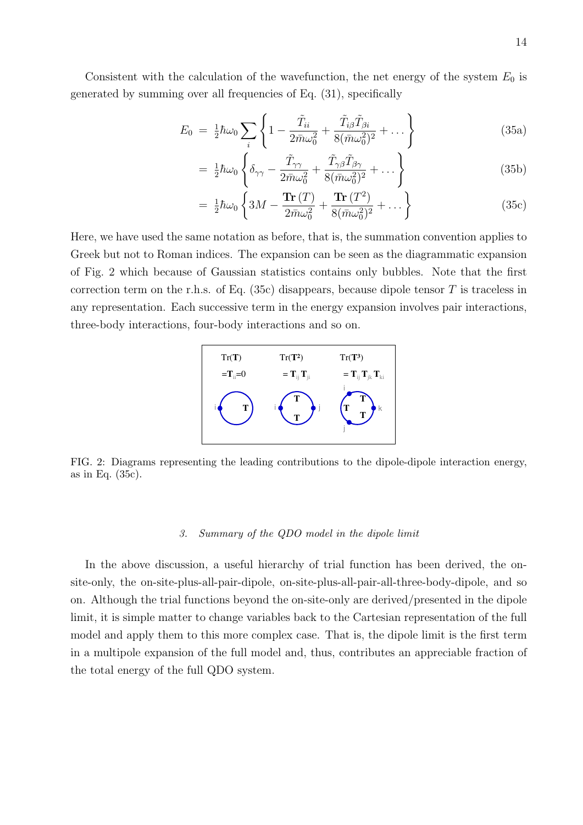Consistent with the calculation of the wavefunction, the net energy of the system  $E_0$  is generated by summing over all frequencies of Eq. (31), specifically

$$
E_0 = \frac{1}{2}\hbar\omega_0 \sum_i \left\{ 1 - \frac{\tilde{T}_{ii}}{2\bar{m}\omega_0^2} + \frac{\tilde{T}_{i\beta}\tilde{T}_{\beta i}}{8(\bar{m}\omega_0^2)^2} + \dots \right\}
$$
(35a)

$$
= \frac{1}{2}\hbar\omega_0 \left\{ \delta_{\gamma\gamma} - \frac{\tilde{T}_{\gamma\gamma}}{2\bar{m}\omega_0^2} + \frac{\tilde{T}_{\gamma\beta}\tilde{T}_{\beta\gamma}}{8(\bar{m}\omega_0^2)^2} + \dots \right\} \tag{35b}
$$

$$
= \frac{1}{2}\hbar\omega_0 \left\{ 3M - \frac{\text{Tr}(T)}{2\bar{m}\omega_0^2} + \frac{\text{Tr}(T^2)}{8(\bar{m}\omega_0^2)^2} + \dots \right\}
$$
(35c)

Here, we have used the same notation as before, that is, the summation convention applies to Greek but not to Roman indices. The expansion can be seen as the diagrammatic expansion of Fig. 2 which because of Gaussian statistics contains only bubbles. Note that the first correction term on the r.h.s. of Eq.  $(35c)$  disappears, because dipole tensor T is traceless in any representation. Each successive term in the energy expansion involves pair interactions, three-body interactions, four-body interactions and so on.



FIG. 2: Diagrams representing the leading contributions to the dipole-dipole interaction energy, as in Eq. (35c).

## 3. Summary of the QDO model in the dipole limit

In the above discussion, a useful hierarchy of trial function has been derived, the onsite-only, the on-site-plus-all-pair-dipole, on-site-plus-all-pair-all-three-body-dipole, and so on. Although the trial functions beyond the on-site-only are derived/presented in the dipole limit, it is simple matter to change variables back to the Cartesian representation of the full model and apply them to this more complex case. That is, the dipole limit is the first term in a multipole expansion of the full model and, thus, contributes an appreciable fraction of the total energy of the full QDO system.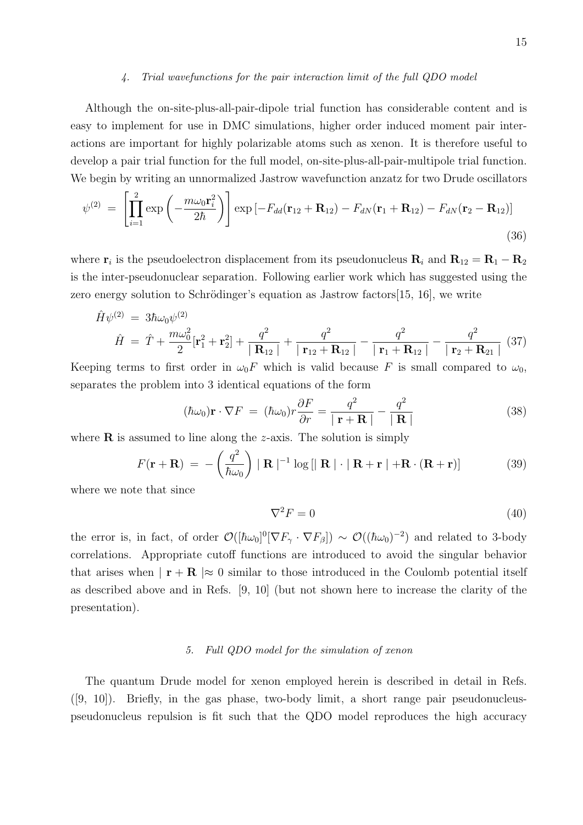#### 4. Trial wavefunctions for the pair interaction limit of the full QDO model

Although the on-site-plus-all-pair-dipole trial function has considerable content and is easy to implement for use in DMC simulations, higher order induced moment pair interactions are important for highly polarizable atoms such as xenon. It is therefore useful to develop a pair trial function for the full model, on-site-plus-all-pair-multipole trial function. We begin by writing an unnormalized Jastrow wavefunction anzatz for two Drude oscillators

$$
\psi^{(2)} = \left[ \prod_{i=1}^{2} \exp\left(-\frac{m\omega_0 \mathbf{r}_i^2}{2\hbar}\right) \right] \exp\left[-F_{dd}(\mathbf{r}_{12} + \mathbf{R}_{12}) - F_{dN}(\mathbf{r}_1 + \mathbf{R}_{12}) - F_{dN}(\mathbf{r}_2 - \mathbf{R}_{12})\right]
$$
\n(36)

where  $\mathbf{r}_i$  is the pseudoelectron displacement from its pseudonucleus  $\mathbf{R}_i$  and  $\mathbf{R}_{12} = \mathbf{R}_1 - \mathbf{R}_2$ is the inter-pseudonuclear separation. Following earlier work which has suggested using the zero energy solution to Schrödinger's equation as Jastrow factors  $[15, 16]$ , we write

$$
\hat{H}\psi^{(2)} = 3\hbar\omega_0\psi^{(2)} \n\hat{H} = \hat{T} + \frac{m\omega_0^2}{2}[\mathbf{r}_1^2 + \mathbf{r}_2^2] + \frac{q^2}{|\mathbf{R}_{12}|} + \frac{q^2}{|\mathbf{r}_{12} + \mathbf{R}_{12}|} - \frac{q^2}{|\mathbf{r}_1 + \mathbf{R}_{12}|} - \frac{q^2}{|\mathbf{r}_2 + \mathbf{R}_{21}|} (37)
$$

Keeping terms to first order in  $\omega_0F$  which is valid because F is small compared to  $\omega_0$ , separates the problem into 3 identical equations of the form

$$
(\hbar\omega_0)\mathbf{r} \cdot \nabla F = (\hbar\omega_0)r\frac{\partial F}{\partial r} = \frac{q^2}{|\mathbf{r} + \mathbf{R}|} - \frac{q^2}{|\mathbf{R}|}
$$
(38)

where  $\bf{R}$  is assumed to line along the *z*-axis. The solution is simply

$$
F(\mathbf{r} + \mathbf{R}) = -\left(\frac{q^2}{\hbar \omega_0}\right) \mid \mathbf{R} \mid^{-1} \log \left[ \mid \mathbf{R} \mid \cdot \mid \mathbf{R} + \mathbf{r} \mid + \mathbf{R} \cdot (\mathbf{R} + \mathbf{r}) \right]
$$
(39)

where we note that since

$$
\nabla^2 F = 0 \tag{40}
$$

the error is, in fact, of order  $\mathcal{O}([\hbar\omega_0]^0[\nabla F_\gamma \cdot \nabla F_\beta]) \sim \mathcal{O}((\hbar\omega_0)^{-2})$  and related to 3-body correlations. Appropriate cutoff functions are introduced to avoid the singular behavior that arises when  $|\mathbf{r} + \mathbf{R}| \approx 0$  similar to those introduced in the Coulomb potential itself as described above and in Refs. [9, 10] (but not shown here to increase the clarity of the presentation).

# 5. Full QDO model for the simulation of xenon

The quantum Drude model for xenon employed herein is described in detail in Refs.  $([9, 10])$ . Briefly, in the gas phase, two-body limit, a short range pair pseudonucleuspseudonucleus repulsion is fit such that the QDO model reproduces the high accuracy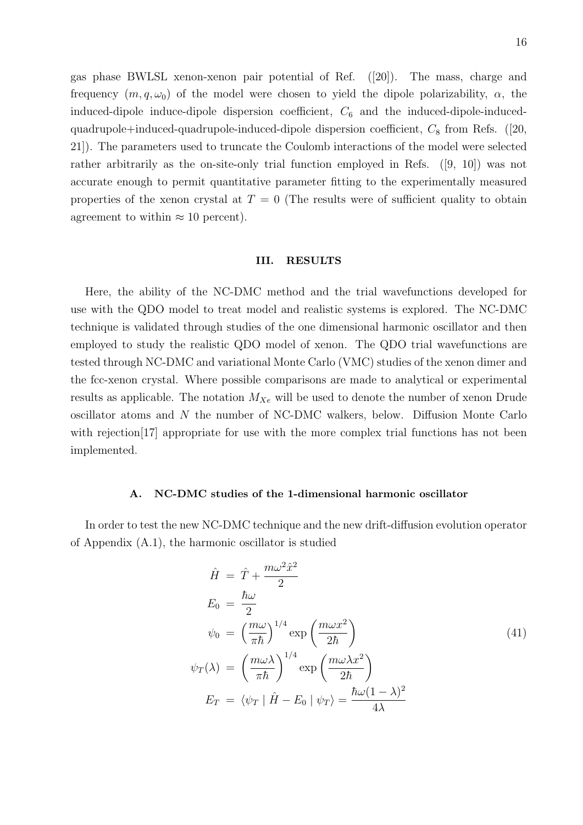gas phase BWLSL xenon-xenon pair potential of Ref. ([20]). The mass, charge and frequency  $(m, q, \omega_0)$  of the model were chosen to yield the dipole polarizability,  $\alpha$ , the induced-dipole induce-dipole dispersion coefficient,  $C_6$  and the induced-dipole-inducedquadrupole+induced-quadrupole-induced-dipole dispersion coefficient,  $C_8$  from Refs. ([20, 21]). The parameters used to truncate the Coulomb interactions of the model were selected rather arbitrarily as the on-site-only trial function employed in Refs. ([9, 10]) was not accurate enough to permit quantitative parameter fitting to the experimentally measured properties of the xenon crystal at  $T = 0$  (The results were of sufficient quality to obtain agreement to within  $\approx 10$  percent).

## III. RESULTS

Here, the ability of the NC-DMC method and the trial wavefunctions developed for use with the QDO model to treat model and realistic systems is explored. The NC-DMC technique is validated through studies of the one dimensional harmonic oscillator and then employed to study the realistic QDO model of xenon. The QDO trial wavefunctions are tested through NC-DMC and variational Monte Carlo (VMC) studies of the xenon dimer and the fcc-xenon crystal. Where possible comparisons are made to analytical or experimental results as applicable. The notation  $M_{Xe}$  will be used to denote the number of xenon Drude oscillator atoms and N the number of NC-DMC walkers, below. Diffusion Monte Carlo with rejection<sup>[17]</sup> appropriate for use with the more complex trial functions has not been implemented.

# A. NC-DMC studies of the 1-dimensional harmonic oscillator

In order to test the new NC-DMC technique and the new drift-diffusion evolution operator of Appendix (A.1), the harmonic oscillator is studied

$$
\hat{H} = \hat{T} + \frac{m\omega^2 \hat{x}^2}{2}
$$
\n
$$
E_0 = \frac{\hbar \omega}{2}
$$
\n
$$
\psi_0 = \left(\frac{m\omega}{\pi \hbar}\right)^{1/4} \exp\left(\frac{m\omega x^2}{2\hbar}\right)
$$
\n
$$
\psi_T(\lambda) = \left(\frac{m\omega \lambda}{\pi \hbar}\right)^{1/4} \exp\left(\frac{m\omega \lambda x^2}{2\hbar}\right)
$$
\n
$$
E_T = \langle \psi_T | \hat{H} - E_0 | \psi_T \rangle = \frac{\hbar \omega (1 - \lambda)^2}{4\lambda}
$$
\n(41)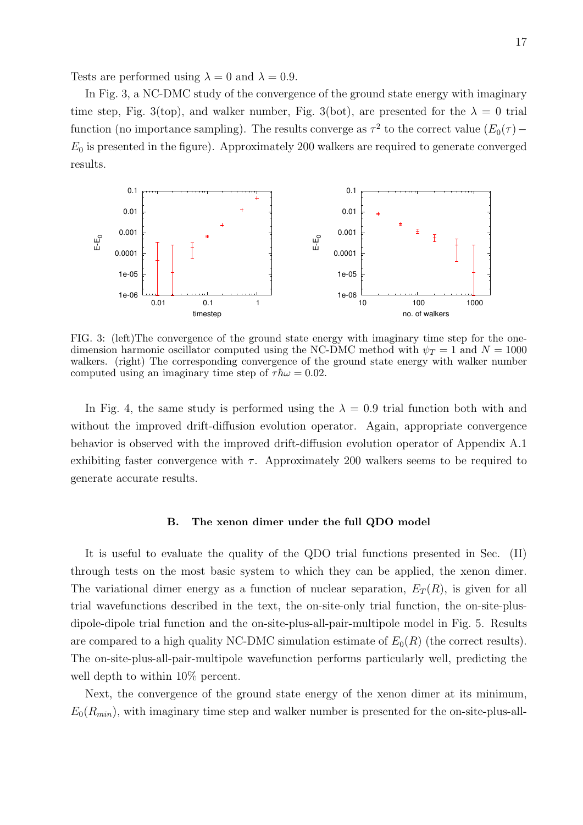Tests are performed using  $\lambda = 0$  and  $\lambda = 0.9$ .

In Fig. 3, a NC-DMC study of the convergence of the ground state energy with imaginary time step, Fig. 3(top), and walker number, Fig. 3(bot), are presented for the  $\lambda = 0$  trial function (no importance sampling). The results converge as  $\tau^2$  to the correct value  $(E_0(\tau) E_0$  is presented in the figure). Approximately 200 walkers are required to generate converged results.



FIG. 3: (left)The convergence of the ground state energy with imaginary time step for the onedimension harmonic oscillator computed using the NC-DMC method with  $\psi_T = 1$  and  $N = 1000$ walkers. (right) The corresponding convergence of the ground state energy with walker number computed using an imaginary time step of  $\tau \hbar \omega = 0.02$ .

In Fig. 4, the same study is performed using the  $\lambda = 0.9$  trial function both with and without the improved drift-diffusion evolution operator. Again, appropriate convergence behavior is observed with the improved drift-diffusion evolution operator of Appendix A.1 exhibiting faster convergence with  $\tau$ . Approximately 200 walkers seems to be required to generate accurate results.

## B. The xenon dimer under the full QDO model

It is useful to evaluate the quality of the QDO trial functions presented in Sec. (II) through tests on the most basic system to which they can be applied, the xenon dimer. The variational dimer energy as a function of nuclear separation,  $E_T(R)$ , is given for all trial wavefunctions described in the text, the on-site-only trial function, the on-site-plusdipole-dipole trial function and the on-site-plus-all-pair-multipole model in Fig. 5. Results are compared to a high quality NC-DMC simulation estimate of  $E_0(R)$  (the correct results). The on-site-plus-all-pair-multipole wavefunction performs particularly well, predicting the well depth to within 10% percent.

Next, the convergence of the ground state energy of the xenon dimer at its minimum,  $E_0(R_{min})$ , with imaginary time step and walker number is presented for the on-site-plus-all-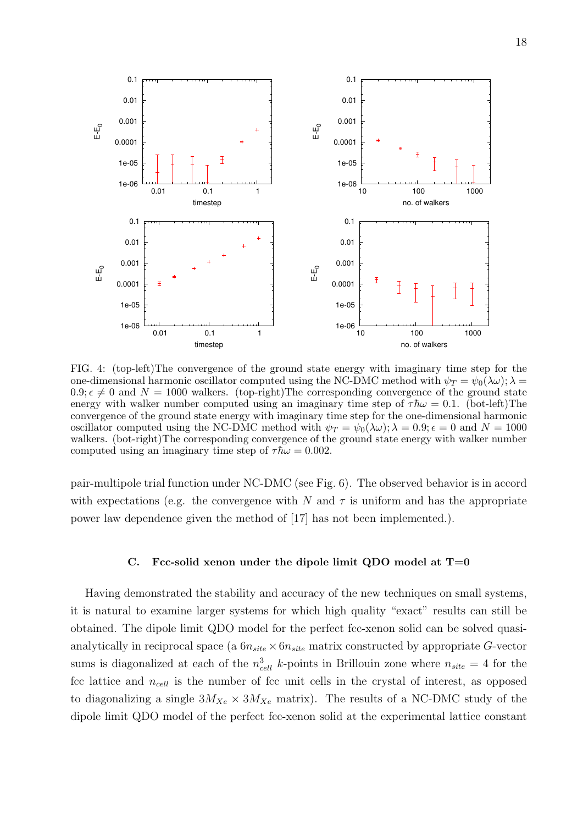

FIG. 4: (top-left)The convergence of the ground state energy with imaginary time step for the one-dimensional harmonic oscillator computed using the NC-DMC method with  $\psi_T = \psi_0(\lambda \omega)$ ;  $\lambda =$  $0.9; \epsilon \neq 0$  and  $N = 1000$  walkers. (top-right) The corresponding convergence of the ground state energy with walker number computed using an imaginary time step of  $\tau \hbar \omega = 0.1$ . (bot-left) The convergence of the ground state energy with imaginary time step for the one-dimensional harmonic oscillator computed using the NC-DMC method with  $\psi_T = \psi_0(\lambda \omega)$ ;  $\lambda = 0.9$ ;  $\epsilon = 0$  and  $N = 1000$ walkers. (bot-right)The corresponding convergence of the ground state energy with walker number computed using an imaginary time step of  $\tau \hbar \omega = 0.002$ .

pair-multipole trial function under NC-DMC (see Fig. 6). The observed behavior is in accord with expectations (e.g. the convergence with N and  $\tau$  is uniform and has the appropriate power law dependence given the method of [17] has not been implemented.).

## C. Fcc-solid xenon under the dipole limit QDO model at  $T=0$

Having demonstrated the stability and accuracy of the new techniques on small systems, it is natural to examine larger systems for which high quality "exact" results can still be obtained. The dipole limit QDO model for the perfect fcc-xenon solid can be solved quasianalytically in reciprocal space (a  $6n_{site} \times 6n_{site}$  matrix constructed by appropriate G-vector sums is diagonalized at each of the  $n_{cell}^3$  k-points in Brillouin zone where  $n_{site} = 4$  for the fcc lattice and  $n_{cell}$  is the number of fcc unit cells in the crystal of interest, as opposed to diagonalizing a single  $3M_{Xe} \times 3M_{Xe}$  matrix). The results of a NC-DMC study of the dipole limit QDO model of the perfect fcc-xenon solid at the experimental lattice constant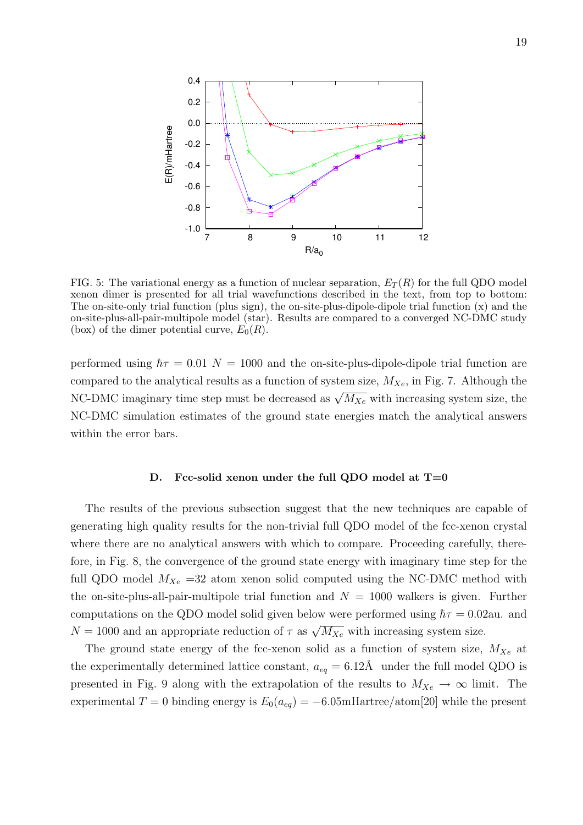

FIG. 5: The variational energy as a function of nuclear separation,  $E_T(R)$  for the full QDO model xenon dimer is presented for all trial wavefunctions described in the text, from top to bottom: The on-site-only trial function (plus sign), the on-site-plus-dipole-dipole trial function (x) and the on-site-plus-all-pair-multipole model (star). Results are compared to a converged NC-DMC study (box) of the dimer potential curve,  $E_0(R)$ .

performed using  $\hbar\tau = 0.01$  N = 1000 and the on-site-plus-dipole-dipole trial function are compared to the analytical results as a function of system size,  $M_{Xe}$ , in Fig. 7. Although the NC-DMC imaginary time step must be decreased as  $\sqrt{M_{Xe}}$  with increasing system size, the NC-DMC simulation estimates of the ground state energies match the analytical answers within the error bars.

## D. Fcc-solid xenon under the full QDO model at  $T=0$

The results of the previous subsection suggest that the new techniques are capable of generating high quality results for the non-trivial full QDO model of the fcc-xenon crystal where there are no analytical answers with which to compare. Proceeding carefully, therefore, in Fig. 8, the convergence of the ground state energy with imaginary time step for the full QDO model  $M_{Xe}$  =32 atom xenon solid computed using the NC-DMC method with the on-site-plus-all-pair-multipole trial function and  $N = 1000$  walkers is given. Further computations on the QDO model solid given below were performed using  $\hbar\tau = 0.02$ au. and  $N = 1000$  and an appropriate reduction of  $\tau$  as  $\sqrt{M_{Xe}}$  with increasing system size.

The ground state energy of the fcc-xenon solid as a function of system size,  $M_{Xe}$  at the experimentally determined lattice constant,  $a_{eq} = 6.12$ Å under the full model QDO is presented in Fig. 9 along with the extrapolation of the results to  $M_{Xe} \to \infty$  limit. The experimental T = 0 binding energy is  $E_0(a_{eq}) = -6.05$ mHartree/atom[20] while the present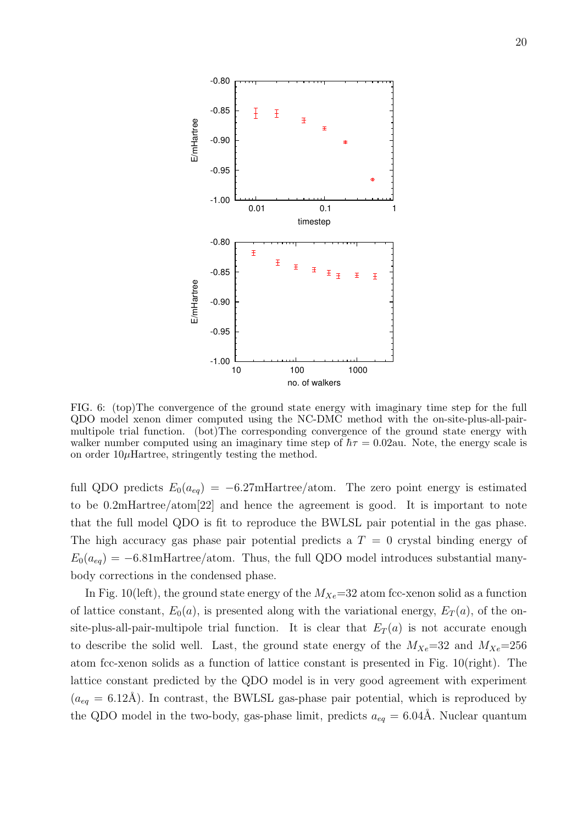

FIG. 6: (top)The convergence of the ground state energy with imaginary time step for the full QDO model xenon dimer computed using the NC-DMC method with the on-site-plus-all-pairmultipole trial function. (bot)The corresponding convergence of the ground state energy with walker number computed using an imaginary time step of  $\hbar\tau = 0.02$ au. Note, the energy scale is on order  $10\mu$ Hartree, stringently testing the method.

full QDO predicts  $E_0(a_{eq}) = -6.27$ mHartree/atom. The zero point energy is estimated to be 0.2mHartree/atom[22] and hence the agreement is good. It is important to note that the full model QDO is fit to reproduce the BWLSL pair potential in the gas phase. The high accuracy gas phase pair potential predicts a  $T = 0$  crystal binding energy of  $E_0(a_{eq}) = -6.81 \text{m}$ Hartree/atom. Thus, the full QDO model introduces substantial manybody corrections in the condensed phase.

In Fig. 10(left), the ground state energy of the  $M_{Xe}=32$  atom fcc-xenon solid as a function of lattice constant,  $E_0(a)$ , is presented along with the variational energy,  $E_T(a)$ , of the onsite-plus-all-pair-multipole trial function. It is clear that  $E_T(a)$  is not accurate enough to describe the solid well. Last, the ground state energy of the  $M_{Xe}=32$  and  $M_{Xe}=256$ atom fcc-xenon solids as a function of lattice constant is presented in Fig. 10(right). The lattice constant predicted by the QDO model is in very good agreement with experiment  $(a_{eq} = 6.12\text{\AA})$ . In contrast, the BWLSL gas-phase pair potential, which is reproduced by the QDO model in the two-body, gas-phase limit, predicts  $a_{eq} = 6.04\text{\AA}$ . Nuclear quantum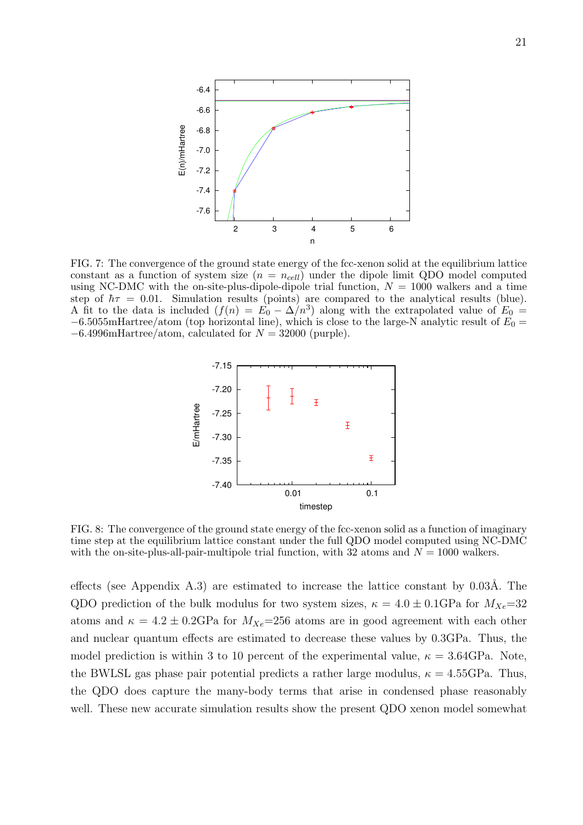

FIG. 7: The convergence of the ground state energy of the fcc-xenon solid at the equilibrium lattice constant as a function of system size  $(n = n_{cell})$  under the dipole limit QDO model computed using NC-DMC with the on-site-plus-dipole-dipole trial function,  $N = 1000$  walkers and a time step of  $\hbar\tau = 0.01$ . Simulation results (points) are compared to the analytical results (blue). A fit to the data is included  $(f(n) = E_0 - \Delta/n^3)$  along with the extrapolated value of  $E_0 =$  $-6.5055$ mHartree/atom (top horizontal line), which is close to the large-N analytic result of  $E_0 =$  $-6.4996$ mHartree/atom, calculated for  $N = 32000$  (purple).



FIG. 8: The convergence of the ground state energy of the fcc-xenon solid as a function of imaginary time step at the equilibrium lattice constant under the full QDO model computed using NC-DMC with the on-site-plus-all-pair-multipole trial function, with 32 atoms and  $N = 1000$  walkers.

effects (see Appendix A.3) are estimated to increase the lattice constant by  $0.03\text{\AA}$ . The QDO prediction of the bulk modulus for two system sizes,  $\kappa = 4.0 \pm 0.1$ GPa for  $M_{Xe}$ =32 atoms and  $\kappa = 4.2 \pm 0.2 \text{GPa}$  for  $M_{Xe} = 256$  atoms are in good agreement with each other and nuclear quantum effects are estimated to decrease these values by 0.3GPa. Thus, the model prediction is within 3 to 10 percent of the experimental value,  $\kappa = 3.64\text{GPa}$ . Note, the BWLSL gas phase pair potential predicts a rather large modulus,  $\kappa = 4.55$ GPa. Thus, the QDO does capture the many-body terms that arise in condensed phase reasonably well. These new accurate simulation results show the present QDO xenon model somewhat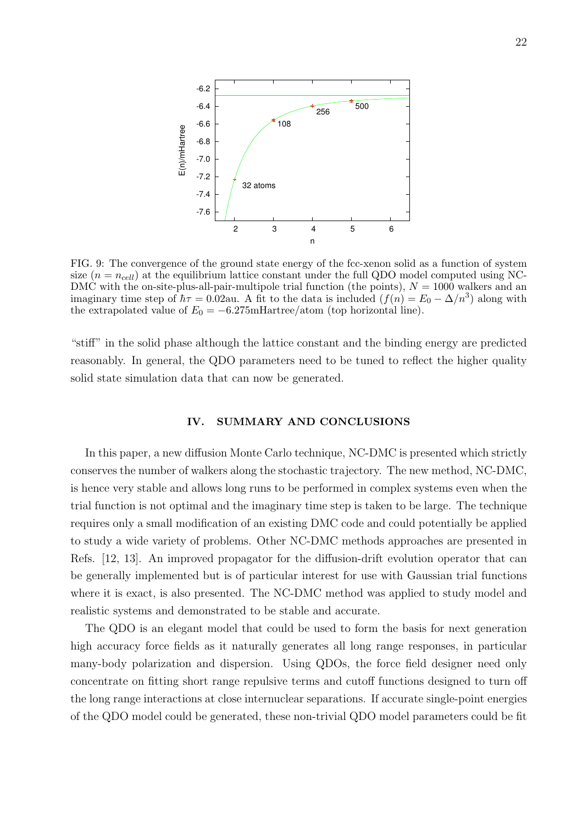

FIG. 9: The convergence of the ground state energy of the fcc-xenon solid as a function of system size  $(n = n_{cell})$  at the equilibrium lattice constant under the full QDO model computed using NC-DMC with the on-site-plus-all-pair-multipole trial function (the points),  $N = 1000$  walkers and an imaginary time step of  $\hbar\tau = 0.02$ au. A fit to the data is included  $(f(n) = E_0 - \Delta/n^3)$  along with the extrapolated value of  $E_0 = -6.275$ mHartree/atom (top horizontal line).

"stiff" in the solid phase although the lattice constant and the binding energy are predicted reasonably. In general, the QDO parameters need to be tuned to reflect the higher quality solid state simulation data that can now be generated.

## IV. SUMMARY AND CONCLUSIONS

In this paper, a new diffusion Monte Carlo technique, NC-DMC is presented which strictly conserves the number of walkers along the stochastic trajectory. The new method, NC-DMC, is hence very stable and allows long runs to be performed in complex systems even when the trial function is not optimal and the imaginary time step is taken to be large. The technique requires only a small modification of an existing DMC code and could potentially be applied to study a wide variety of problems. Other NC-DMC methods approaches are presented in Refs. [12, 13]. An improved propagator for the diffusion-drift evolution operator that can be generally implemented but is of particular interest for use with Gaussian trial functions where it is exact, is also presented. The NC-DMC method was applied to study model and realistic systems and demonstrated to be stable and accurate.

The QDO is an elegant model that could be used to form the basis for next generation high accuracy force fields as it naturally generates all long range responses, in particular many-body polarization and dispersion. Using QDOs, the force field designer need only concentrate on fitting short range repulsive terms and cutoff functions designed to turn off the long range interactions at close internuclear separations. If accurate single-point energies of the QDO model could be generated, these non-trivial QDO model parameters could be fit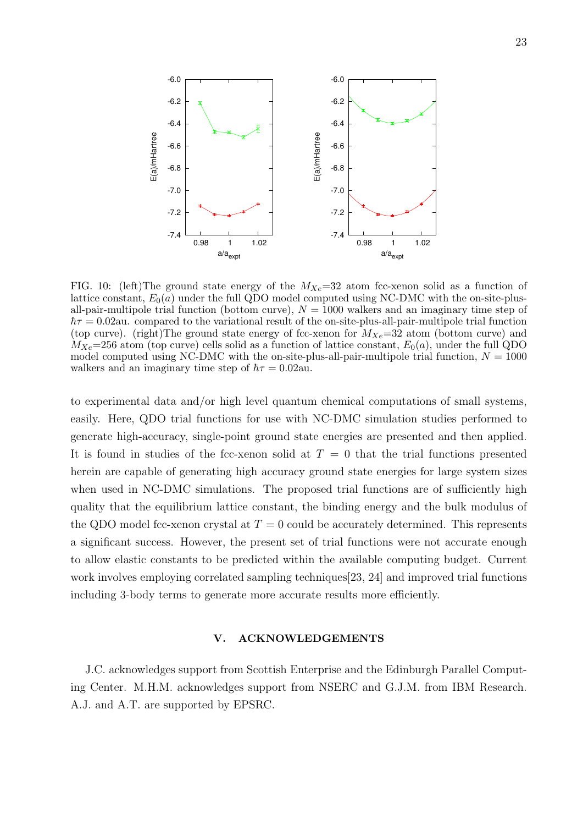

 $a/a<sub>expt</sub>$ 

E(a)/mHartree

E(a)/mHartree

FIG. 10: (left)The ground state energy of the  $M_{Xe}=32$  atom fcc-xenon solid as a function of lattice constant,  $E_0(a)$  under the full QDO model computed using NC-DMC with the on-site-plusall-pair-multipole trial function (bottom curve),  $N = 1000$  walkers and an imaginary time step of  $\hbar\tau = 0.02$ au. compared to the variational result of the on-site-plus-all-pair-multipole trial function (top curve). (right)The ground state energy of fcc-xenon for  $M_{Xe}=32$  atom (bottom curve) and  $M_{Xe}$ =256 atom (top curve) cells solid as a function of lattice constant,  $E_0(a)$ , under the full QDO model computed using NC-DMC with the on-site-plus-all-pair-multipole trial function,  $N = 1000$ walkers and an imaginary time step of  $\hbar \tau = 0.02$ au.

 $a/a<sub>expt</sub>$ 

to experimental data and/or high level quantum chemical computations of small systems, easily. Here, QDO trial functions for use with NC-DMC simulation studies performed to generate high-accuracy, single-point ground state energies are presented and then applied. It is found in studies of the fcc-xenon solid at  $T = 0$  that the trial functions presented herein are capable of generating high accuracy ground state energies for large system sizes when used in NC-DMC simulations. The proposed trial functions are of sufficiently high quality that the equilibrium lattice constant, the binding energy and the bulk modulus of the QDO model fcc-xenon crystal at  $T = 0$  could be accurately determined. This represents a significant success. However, the present set of trial functions were not accurate enough to allow elastic constants to be predicted within the available computing budget. Current work involves employing correlated sampling techniques[23, 24] and improved trial functions including 3-body terms to generate more accurate results more efficiently.

# V. ACKNOWLEDGEMENTS

J.C. acknowledges support from Scottish Enterprise and the Edinburgh Parallel Computing Center. M.H.M. acknowledges support from NSERC and G.J.M. from IBM Research. A.J. and A.T. are supported by EPSRC.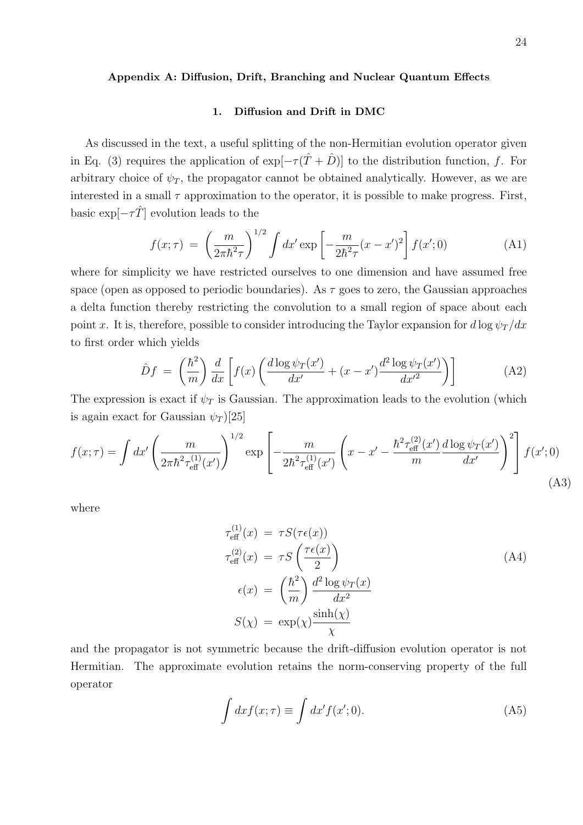## Appendix A: Diffusion, Drift, Branching and Nuclear Quantum Effects

# 1. Diffusion and Drift in DMC

As discussed in the text, a useful splitting of the non-Hermitian evolution operator given in Eq. (3) requires the application of  $\exp[-\tau(\hat{T}+\hat{D})]$  to the distribution function, f. For arbitrary choice of  $\psi_T$ , the propagator cannot be obtained analytically. However, as we are interested in a small  $\tau$  approximation to the operator, it is possible to make progress. First, basic  $\exp[-\tau \hat{T}]$  evolution leads to the

$$
f(x; \tau) = \left(\frac{m}{2\pi\hbar^2\tau}\right)^{1/2} \int dx' \exp\left[-\frac{m}{2\hbar^2\tau}(x - x')^2\right] f(x'; 0)
$$
 (A1)

where for simplicity we have restricted ourselves to one dimension and have assumed free space (open as opposed to periodic boundaries). As  $\tau$  goes to zero, the Gaussian approaches a delta function thereby restricting the convolution to a small region of space about each point x. It is, therefore, possible to consider introducing the Taylor expansion for  $d \log \psi_T / dx$ to first order which yields

$$
\hat{D}f = \left(\frac{\hbar^2}{m}\right) \frac{d}{dx} \left[ f(x) \left( \frac{d \log \psi_T(x')}{dx'} + (x - x') \frac{d^2 \log \psi_T(x')}{dx'^2} \right) \right]
$$
(A2)

The expression is exact if  $\psi_T$  is Gaussian. The approximation leads to the evolution (which is again exact for Gaussian  $\psi_T$  [25]

$$
f(x;\tau) = \int dx' \left(\frac{m}{2\pi\hbar^2 \tau_{\text{eff}}^{(1)}(x')} \right)^{1/2} \exp\left[ -\frac{m}{2\hbar^2 \tau_{\text{eff}}^{(1)}(x')} \left( x - x' - \frac{\hbar^2 \tau_{\text{eff}}^{(2)}(x')}{m} \frac{d \log \psi_T(x')}{dx'} \right)^2 \right] f(x';0)
$$
\n(A3)

where

$$
\tau_{\text{eff}}^{(1)}(x) = \tau S(\tau \epsilon(x))
$$
\n
$$
\tau_{\text{eff}}^{(2)}(x) = \tau S\left(\frac{\tau \epsilon(x)}{2}\right)
$$
\n
$$
\epsilon(x) = \left(\frac{\hbar^2}{m}\right) \frac{d^2 \log \psi_T(x)}{dx^2}
$$
\n
$$
S(\chi) = \exp(\chi) \frac{\sinh(\chi)}{\chi}
$$
\n(44)

and the propagator is not symmetric because the drift-diffusion evolution operator is not Hermitian. The approximate evolution retains the norm-conserving property of the full operator

$$
\int dx f(x;\tau) \equiv \int dx' f(x';0). \tag{A5}
$$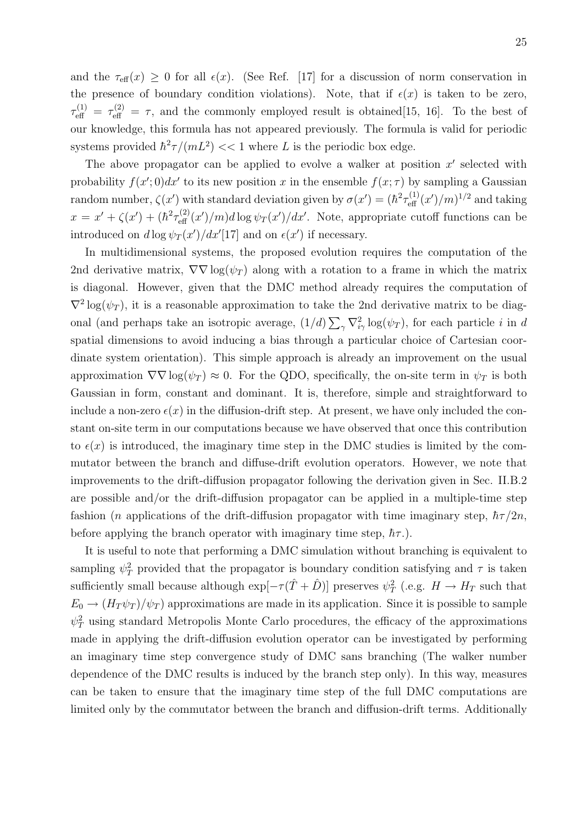and the  $\tau_{\text{eff}}(x) \geq 0$  for all  $\epsilon(x)$ . (See Ref. [17] for a discussion of norm conservation in the presence of boundary condition violations). Note, that if  $\epsilon(x)$  is taken to be zero,  $\tau_{\text{eff}}^{(1)} = \tau_{\text{eff}}^{(2)} = \tau$ , and the commonly employed result is obtained [15, 16]. To the best of our knowledge, this formula has not appeared previously. The formula is valid for periodic systems provided  $\hbar^2 \tau / (mL^2) \ll 1$  where L is the periodic box edge.

The above propagator can be applied to evolve a walker at position  $x'$  selected with probability  $f(x', 0)dx'$  to its new position x in the ensemble  $f(x; \tau)$  by sampling a Gaussian random number,  $\zeta(x')$  with standard deviation given by  $\sigma(x') = (\hbar^2 \tau_{\text{eff}}^{(1)}(x')/m)^{1/2}$  and taking  $x = x' + \zeta(x') + (\hbar^2 \tau_{\text{eff}}^{(2)}(x')/m) d \log \psi_T(x')/dx'$ . Note, appropriate cutoff functions can be introduced on  $d \log \psi_T(x') / dx'$ [17] and on  $\epsilon(x')$  if necessary.

In multidimensional systems, the proposed evolution requires the computation of the 2nd derivative matrix,  $\nabla \nabla \log(\psi_T)$  along with a rotation to a frame in which the matrix is diagonal. However, given that the DMC method already requires the computation of  $\nabla^2 \log(\psi_T)$ , it is a reasonable approximation to take the 2nd derivative matrix to be diagonal (and perhaps take an isotropic average,  $(1/d) \sum_{\gamma} \nabla^2_{i\gamma} \log(\psi_T)$ , for each particle i in d spatial dimensions to avoid inducing a bias through a particular choice of Cartesian coordinate system orientation). This simple approach is already an improvement on the usual approximation  $\nabla \nabla \log(\psi_T) \approx 0$ . For the QDO, specifically, the on-site term in  $\psi_T$  is both Gaussian in form, constant and dominant. It is, therefore, simple and straightforward to include a non-zero  $\epsilon(x)$  in the diffusion-drift step. At present, we have only included the constant on-site term in our computations because we have observed that once this contribution to  $\epsilon(x)$  is introduced, the imaginary time step in the DMC studies is limited by the commutator between the branch and diffuse-drift evolution operators. However, we note that improvements to the drift-diffusion propagator following the derivation given in Sec. II.B.2 are possible and/or the drift-diffusion propagator can be applied in a multiple-time step fashion (*n* applications of the drift-diffusion propagator with time imaginary step,  $\hbar\tau/2n$ , before applying the branch operator with imaginary time step,  $\hbar \tau$ .).

It is useful to note that performing a DMC simulation without branching is equivalent to sampling  $\psi_T^2$  provided that the propagator is boundary condition satisfying and  $\tau$  is taken sufficiently small because although  $\exp[-\tau(\hat{T} + \hat{D})]$  preserves  $\psi_T^2$  (.e.g.  $H \to H_T$  such that  $E_0 \to (H_T \psi_T)/\psi_T$  approximations are made in its application. Since it is possible to sample  $\psi_T^2$  using standard Metropolis Monte Carlo procedures, the efficacy of the approximations made in applying the drift-diffusion evolution operator can be investigated by performing an imaginary time step convergence study of DMC sans branching (The walker number dependence of the DMC results is induced by the branch step only). In this way, measures can be taken to ensure that the imaginary time step of the full DMC computations are limited only by the commutator between the branch and diffusion-drift terms. Additionally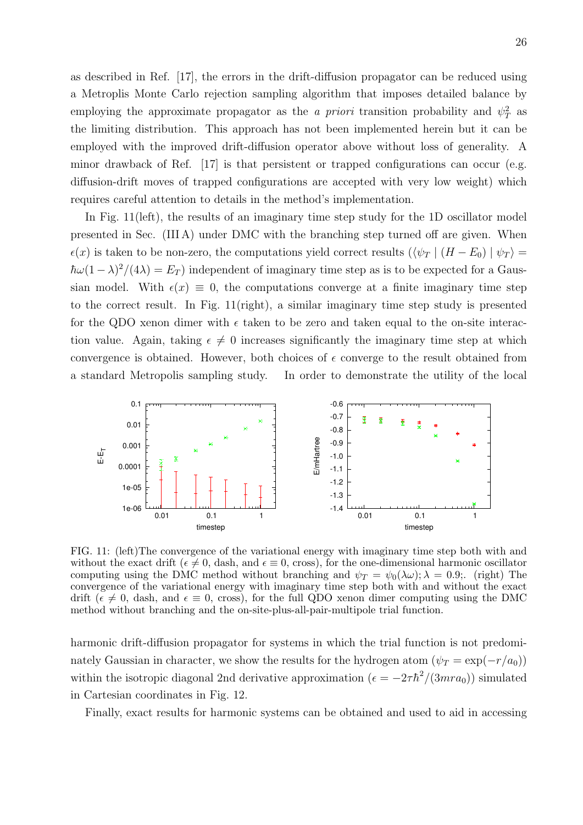as described in Ref. [17], the errors in the drift-diffusion propagator can be reduced using a Metroplis Monte Carlo rejection sampling algorithm that imposes detailed balance by employing the approximate propagator as the a priori transition probability and  $\psi_T^2$  as the limiting distribution. This approach has not been implemented herein but it can be employed with the improved drift-diffusion operator above without loss of generality. A minor drawback of Ref. [17] is that persistent or trapped configurations can occur (e.g. diffusion-drift moves of trapped configurations are accepted with very low weight) which requires careful attention to details in the method's implementation.

In Fig. 11(left), the results of an imaginary time step study for the 1D oscillator model presented in Sec. (III A) under DMC with the branching step turned off are given. When  $\epsilon(x)$  is taken to be non-zero, the computations yield correct results  $(\langle \psi_T | (H - E_0) | \psi_T \rangle =$  $\hbar \omega (1 - \lambda)^2 / (4\lambda) = E_T$ ) independent of imaginary time step as is to be expected for a Gaussian model. With  $\epsilon(x) \equiv 0$ , the computations converge at a finite imaginary time step to the correct result. In Fig. 11(right), a similar imaginary time step study is presented for the QDO xenon dimer with  $\epsilon$  taken to be zero and taken equal to the on-site interaction value. Again, taking  $\epsilon \neq 0$  increases significantly the imaginary time step at which convergence is obtained. However, both choices of  $\epsilon$  converge to the result obtained from a standard Metropolis sampling study. In order to demonstrate the utility of the local



FIG. 11: (left)The convergence of the variational energy with imaginary time step both with and without the exact drift ( $\epsilon \neq 0$ , dash, and  $\epsilon \equiv 0$ , cross), for the one-dimensional harmonic oscillator computing using the DMC method without branching and  $\psi_T = \psi_0(\lambda \omega)$ ;  $\lambda = 0.9$ ;. (right) The convergence of the variational energy with imaginary time step both with and without the exact drift ( $\epsilon \neq 0$ , dash, and  $\epsilon \equiv 0$ , cross), for the full QDO xenon dimer computing using the DMC method without branching and the on-site-plus-all-pair-multipole trial function.

harmonic drift-diffusion propagator for systems in which the trial function is not predominately Gaussian in character, we show the results for the hydrogen atom  $(\psi_T = \exp(-r/a_0))$ within the isotropic diagonal 2nd derivative approximation  $(\epsilon = -2\tau\hbar^2/(3mra_0))$  simulated in Cartesian coordinates in Fig. 12.

Finally, exact results for harmonic systems can be obtained and used to aid in accessing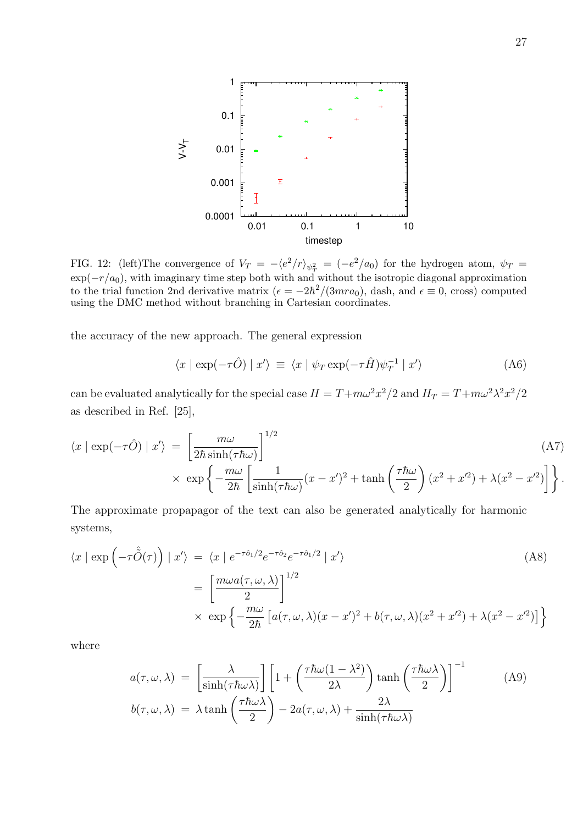

FIG. 12: (left)The convergence of  $V_T = -\langle e^2/r \rangle_{\psi_T^2} = (-e^2/a_0)$  for the hydrogen atom,  $\psi_T =$  $\exp(-r/a_0)$ , with imaginary time step both with and without the isotropic diagonal approximation to the trial function 2nd derivative matrix  $(\epsilon = -2\hbar^2/(3mra_0)$ , dash, and  $\epsilon \equiv 0$ , cross) computed using the DMC method without branching in Cartesian coordinates.

the accuracy of the new approach. The general expression

$$
\langle x | \exp(-\tau \hat{O}) | x' \rangle \equiv \langle x | \psi_T \exp(-\tau \hat{H}) \psi_T^{-1} | x' \rangle \tag{A6}
$$

can be evaluated analytically for the special case  $H = T + m\omega^2 x^2/2$  and  $H_T = T + m\omega^2 \lambda^2 x^2/2$ as described in Ref. [25],

$$
\langle x | \exp(-\tau \hat{O}) | x' \rangle = \left[ \frac{m\omega}{2\hbar \sinh(\tau \hbar \omega)} \right]^{1/2} \tag{A7}
$$
  
 
$$
\times \exp \left\{ -\frac{m\omega}{2\hbar} \left[ \frac{1}{\sinh(\tau \hbar \omega)} (x - x')^2 + \tanh \left( \frac{\tau \hbar \omega}{2} \right) (x^2 + x'^2) + \lambda (x^2 - x'^2) \right] \right\}.
$$

The approximate propapagor of the text can also be generated analytically for harmonic systems,

$$
\langle x | \exp \left( -\tau \tilde{\hat{O}}(\tau) \right) | x' \rangle = \langle x | e^{-\tau \hat{\partial}_1/2} e^{-\tau \hat{\partial}_2} e^{-\tau \hat{\partial}_1/2} | x' \rangle
$$
\n
$$
= \left[ \frac{m \omega a(\tau, \omega, \lambda)}{2} \right]^{1/2}
$$
\n
$$
\times \exp \left\{ -\frac{m \omega}{2\hbar} \left[ a(\tau, \omega, \lambda)(x - x')^2 + b(\tau, \omega, \lambda)(x^2 + x'^2) + \lambda(x^2 - x'^2) \right] \right\}
$$
\n(A8)

where

$$
a(\tau, \omega, \lambda) = \left[\frac{\lambda}{\sinh(\tau \hbar \omega \lambda)}\right] \left[1 + \left(\frac{\tau \hbar \omega (1 - \lambda^2)}{2\lambda}\right) \tanh\left(\frac{\tau \hbar \omega \lambda}{2}\right)\right]^{-1}
$$
(A9)  

$$
b(\tau, \omega, \lambda) = \lambda \tanh\left(\frac{\tau \hbar \omega \lambda}{2}\right) - 2a(\tau, \omega, \lambda) + \frac{2\lambda}{\sinh(\tau \hbar \omega \lambda)}
$$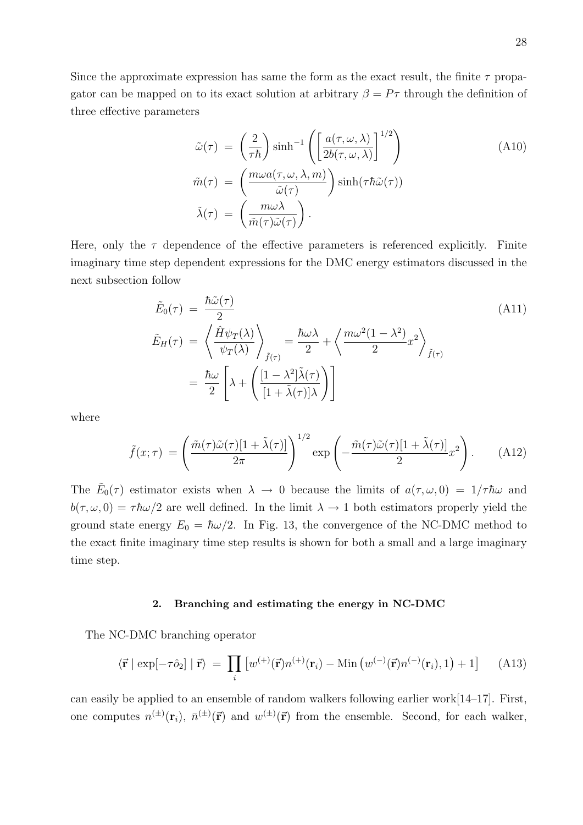Since the approximate expression has same the form as the exact result, the finite  $\tau$  propagator can be mapped on to its exact solution at arbitrary  $\beta = P\tau$  through the definition of three effective parameters

$$
\tilde{\omega}(\tau) = \left(\frac{2}{\tau \hbar}\right) \sinh^{-1} \left(\left[\frac{a(\tau, \omega, \lambda)}{2b(\tau, \omega, \lambda)}\right]^{1/2}\right) \n\tilde{m}(\tau) = \left(\frac{m\omega a(\tau, \omega, \lambda, m)}{\tilde{\omega}(\tau)}\right) \sinh(\tau \hbar \tilde{\omega}(\tau)) \n\tilde{\lambda}(\tau) = \left(\frac{m\omega \lambda}{\tilde{m}(\tau)\tilde{\omega}(\tau)}\right).
$$
\n(A10)

Here, only the  $\tau$  dependence of the effective parameters is referenced explicitly. Finite imaginary time step dependent expressions for the DMC energy estimators discussed in the next subsection follow

$$
\tilde{E}_0(\tau) = \frac{\hbar \tilde{\omega}(\tau)}{2} \n\tilde{E}_H(\tau) = \left\langle \frac{\hat{H}\psi_T(\lambda)}{\psi_T(\lambda)} \right\rangle_{\tilde{f}(\tau)} = \frac{\hbar \omega \lambda}{2} + \left\langle \frac{m\omega^2(1-\lambda^2)}{2}x^2 \right\rangle_{\tilde{f}(\tau)} \n= \frac{\hbar \omega}{2} \left[ \lambda + \left( \frac{[1-\lambda^2]\tilde{\lambda}(\tau)}{[1+\tilde{\lambda}(\tau)]\lambda} \right) \right]
$$
\n(A11)

where

$$
\tilde{f}(x;\tau) = \left(\frac{\tilde{m}(\tau)\tilde{\omega}(\tau)[1+\tilde{\lambda}(\tau)]}{2\pi}\right)^{1/2} \exp\left(-\frac{\tilde{m}(\tau)\tilde{\omega}(\tau)[1+\tilde{\lambda}(\tau)]}{2}x^2\right).
$$
 (A12)

The  $\tilde{E}_0(\tau)$  estimator exists when  $\lambda \to 0$  because the limits of  $a(\tau,\omega,0) = 1/\tau \hbar \omega$  and  $b(\tau, \omega, 0) = \tau \hbar \omega/2$  are well defined. In the limit  $\lambda \to 1$  both estimators properly yield the ground state energy  $E_0 = \hbar \omega/2$ . In Fig. 13, the convergence of the NC-DMC method to the exact finite imaginary time step results is shown for both a small and a large imaginary time step.

# 2. Branching and estimating the energy in NC-DMC

The NC-DMC branching operator

$$
\langle \vec{\mathbf{r}} \mid \exp[-\tau \hat{\mathbf{o}}_2] \mid \vec{\mathbf{r}} \rangle = \prod_i \left[ w^{(+)}(\vec{\mathbf{r}}) n^{(+)}(\mathbf{r}_i) - \text{Min} \left( w^{(-)}(\vec{\mathbf{r}}) n^{(-)}(\mathbf{r}_i), 1 \right) + 1 \right] \tag{A13}
$$

can easily be applied to an ensemble of random walkers following earlier work[14–17]. First, one computes  $n^{(\pm)}(\mathbf{r}_i)$ ,  $\bar{n}^{(\pm)}(\vec{r})$  and  $w^{(\pm)}(\vec{r})$  from the ensemble. Second, for each walker,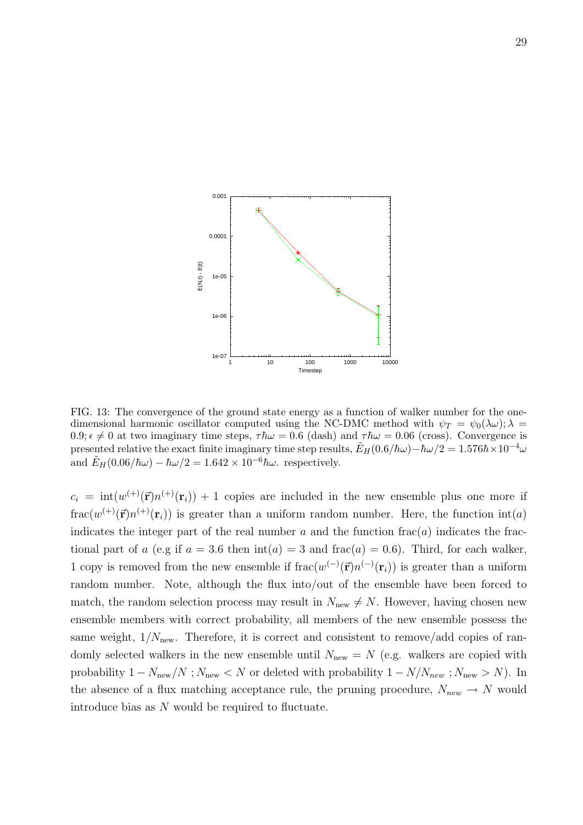

FIG. 13: The convergence of the ground state energy as a function of walker number for the onedimensional harmonic oscillator computed using the NC-DMC method with  $\psi_T = \psi_0(\lambda \omega); \lambda =$  $0.9; \epsilon \neq 0$  at two imaginary time steps,  $\tau \hbar \omega = 0.6$  (dash) and  $\tau \hbar \omega = 0.06$  (cross). Convergence is presented relative the exact finite imaginary time step results,  $E_H(0.6/\hbar\omega)-\hbar\omega/2 = 1.576\hbar \times 10^{-4}\omega$ and  $E_H(0.06/\hbar\omega) - \hbar\omega/2 = 1.642 \times 10^{-6}\hbar\omega$ . respectively.

 $c_i = int(w^{(+)}(\vec{r})n^{(+)}(r_i)) + 1$  copies are included in the new ensemble plus one more if  $\text{frac}(w^{(+)}(\vec{r})n^{(+)}(\mathbf{r}_i))$  is greater than a uniform random number. Here, the function  $\text{int}(a)$ indicates the integer part of the real number a and the function  $\text{frac}(a)$  indicates the fractional part of a (e.g if  $a = 3.6$  then  $\text{int}(a) = 3$  and  $\text{frac}(a) = 0.6$ ). Third, for each walker, 1 copy is removed from the new ensemble if  $\text{frac}(w^{(-)}(\vec{r})n^{(-)}(\mathbf{r}_i))$  is greater than a uniform random number. Note, although the flux into/out of the ensemble have been forced to match, the random selection process may result in  $N_{\text{new}} \neq N$ . However, having chosen new ensemble members with correct probability, all members of the new ensemble possess the same weight,  $1/N_{\text{new}}$ . Therefore, it is correct and consistent to remove/add copies of randomly selected walkers in the new ensemble until  $N_{\text{new}} = N$  (e.g. walkers are copied with probability  $1 - N_{\text{new}}/N$ ;  $N_{\text{new}} < N$  or deleted with probability  $1 - N/N_{\text{new}}$ ;  $N_{\text{new}} > N$ ). In the absence of a flux matching acceptance rule, the pruning procedure,  $N_{new} \rightarrow N$  would introduce bias as N would be required to fluctuate.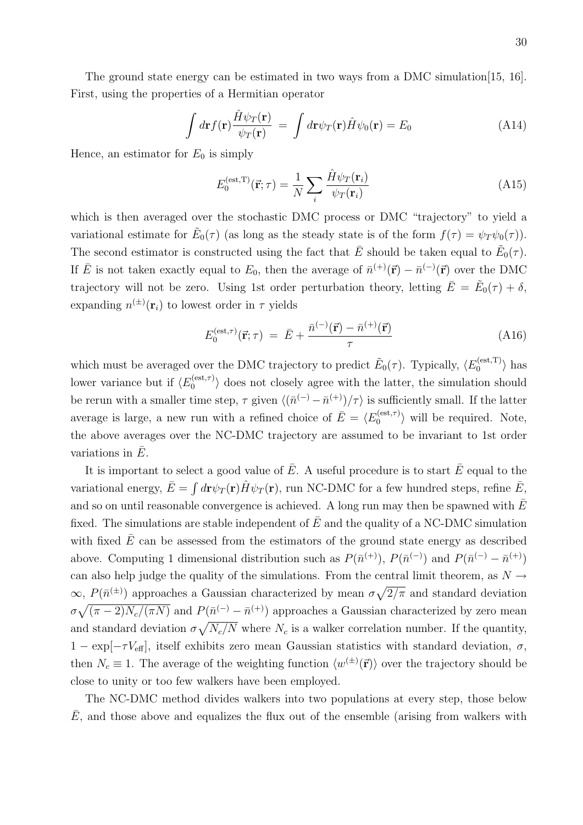The ground state energy can be estimated in two ways from a DMC simulation [15, 16]. First, using the properties of a Hermitian operator

$$
\int d\mathbf{r} f(\mathbf{r}) \frac{\hat{H}\psi_T(\mathbf{r})}{\psi_T(\mathbf{r})} = \int d\mathbf{r} \psi_T(\mathbf{r}) \hat{H}\psi_0(\mathbf{r}) = E_0 \tag{A14}
$$

Hence, an estimator for  $E_0$  is simply

$$
E_0^{(\text{est},T)}(\vec{\mathbf{r}};\tau) = \frac{1}{N} \sum_i \frac{\hat{H}\psi_T(\mathbf{r}_i)}{\psi_T(\mathbf{r}_i)}
$$
(A15)

which is then averaged over the stochastic DMC process or DMC "trajectory" to yield a variational estimate for  $\tilde{E}_0(\tau)$  (as long as the steady state is of the form  $f(\tau) = \psi_T \psi_0(\tau)$ ). The second estimator is constructed using the fact that  $\bar{E}$  should be taken equal to  $\tilde{E}_0(\tau)$ . If  $\bar{E}$  is not taken exactly equal to  $E_0$ , then the average of  $\bar{n}^{(+)}(\vec{r}) - \bar{n}^{(-)}(\vec{r})$  over the DMC trajectory will not be zero. Using 1st order perturbation theory, letting  $\bar{E} = \tilde{E}_0(\tau) + \delta$ , expanding  $n^{(\pm)}(\mathbf{r}_i)$  to lowest order in  $\tau$  yields

$$
E_0^{(\text{est},\tau)}(\vec{\mathbf{r}};\tau) = \bar{E} + \frac{\bar{n}^{(-)}(\vec{\mathbf{r}}) - \bar{n}^{(+)}(\vec{\mathbf{r}})}{\tau}
$$
(A16)

which must be averaged over the DMC trajectory to predict  $\tilde{E}_0(\tau)$ . Typically,  $\langle E_0^{(est,T)} \rangle$  $\binom{\textup{est},1}{0}$  has lower variance but if  $\langle E_0^{(\text{est},\tau)} \rangle$  $\binom{1}{0}$  does not closely agree with the latter, the simulation should be rerun with a smaller time step,  $\tau$  given  $\langle (\bar{n}^{(-)} - \bar{n}^{(+)})/\tau \rangle$  is sufficiently small. If the latter average is large, a new run with a refined choice of  $\bar{E} = \langle E_0^{(\text{est}, \tau)} \rangle$  $\binom{0}{0}$  will be required. Note, the above averages over the NC-DMC trajectory are assumed to be invariant to 1st order variations in  $E$ .

It is important to select a good value of  $\overline{E}$ . A useful procedure is to start  $\overline{E}$  equal to the variational energy,  $\bar{E} = \int d\mathbf{r} \psi_T(\mathbf{r}) \hat{H} \psi_T(\mathbf{r})$ , run NC-DMC for a few hundred steps, refine  $\bar{E}$ , and so on until reasonable convergence is achieved. A long run may then be spawned with  $\overline{E}$ fixed. The simulations are stable independent of  $\bar{E}$  and the quality of a NC-DMC simulation with fixed  $\bar{E}$  can be assessed from the estimators of the ground state energy as described above. Computing 1 dimensional distribution such as  $P(\bar{n}^{(+)})$ ,  $P(\bar{n}^{(-)})$  and  $P(\bar{n}^{(-)} - \bar{n}^{(+)})$ can also help judge the quality of the simulations. From the central limit theorem, as  $N \rightarrow$  $\infty$ ,  $P(\bar{n}^{(\pm)})$  approaches a Gaussian characterized by mean  $\sigma \sqrt{2/\pi}$  and standard deviation  $\sigma\sqrt{(\pi-2)N_c/(\pi N)}$  and  $P(\bar{n}^{(-)} - \bar{n}^{(+)})$  approaches a Gaussian characterized by zero mean and standard deviation  $\sigma \sqrt{N_c/N}$  where  $N_c$  is a walker correlation number. If the quantity,  $1 - \exp[-\tau V_{\text{eff}}]$ , itself exhibits zero mean Gaussian statistics with standard deviation,  $\sigma$ , then  $N_c \equiv 1$ . The average of the weighting function  $\langle w^{(\pm)}(\vec{r}) \rangle$  over the trajectory should be close to unity or too few walkers have been employed.

The NC-DMC method divides walkers into two populations at every step, those below  $\overline{E}$ , and those above and equalizes the flux out of the ensemble (arising from walkers with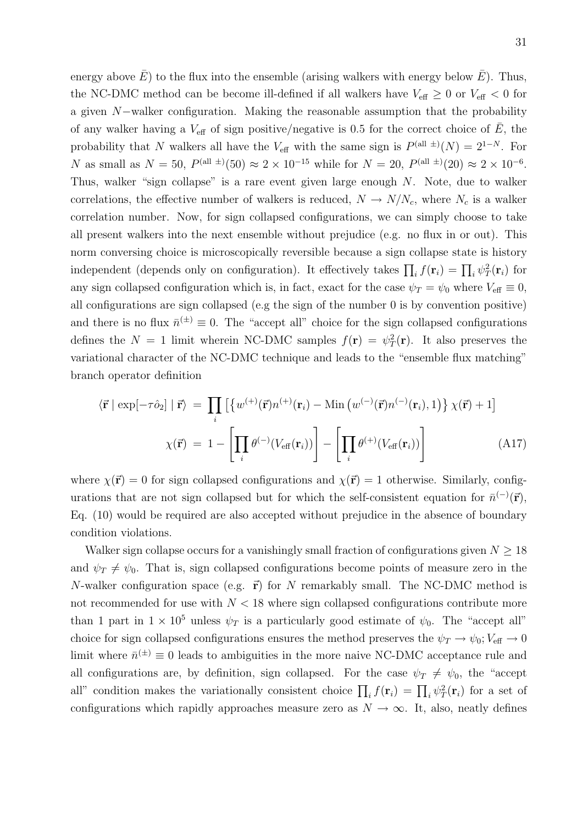energy above  $E$ ) to the flux into the ensemble (arising walkers with energy below  $E$ ). Thus, the NC-DMC method can be become ill-defined if all walkers have  $V_{\text{eff}} \geq 0$  or  $V_{\text{eff}} < 0$  for a given N−walker configuration. Making the reasonable assumption that the probability of any walker having a  $V_{\text{eff}}$  of sign positive/negative is 0.5 for the correct choice of  $\overline{E}$ , the probability that N walkers all have the  $V_{\text{eff}}$  with the same sign is  $P^{(\text{all } \pm)}(N) = 2^{1-N}$ . For N as small as  $N = 50$ ,  $P^{(\text{all } \pm)}(50) \approx 2 \times 10^{-15}$  while for  $N = 20$ ,  $P^{(\text{all } \pm)}(20) \approx 2 \times 10^{-6}$ . Thus, walker "sign collapse" is a rare event given large enough N. Note, due to walker correlations, the effective number of walkers is reduced,  $N \to N/N_c$ , where  $N_c$  is a walker correlation number. Now, for sign collapsed configurations, we can simply choose to take all present walkers into the next ensemble without prejudice (e.g. no flux in or out). This norm conversing choice is microscopically reversible because a sign collapse state is history independent (depends only on configuration). It effectively takes  $\prod_i f(\mathbf{r}_i) = \prod_i \psi_T^2(\mathbf{r}_i)$  for any sign collapsed configuration which is, in fact, exact for the case  $\psi_T = \psi_0$  where  $V_{\text{eff}} \equiv 0$ , all configurations are sign collapsed (e.g the sign of the number 0 is by convention positive) and there is no flux  $\bar{n}^{(\pm)} \equiv 0$ . The "accept all" choice for the sign collapsed configurations defines the  $N = 1$  limit wherein NC-DMC samples  $f(\mathbf{r}) = \psi_T^2(\mathbf{r})$ . It also preserves the variational character of the NC-DMC technique and leads to the "ensemble flux matching" branch operator definition

$$
\langle \vec{\mathbf{r}} \mid \exp[-\tau \hat{\mathbf{o}}_2] \mid \vec{\mathbf{r}} \rangle = \prod_i \left[ \left\{ w^{(+)}(\vec{\mathbf{r}}) n^{(+)}(\mathbf{r}_i) - \text{Min} \left( w^{(-)}(\vec{\mathbf{r}}) n^{(-)}(\mathbf{r}_i), 1 \right) \right\} \chi(\vec{\mathbf{r}}) + 1 \right]
$$

$$
\chi(\vec{\mathbf{r}}) = 1 - \left[ \prod_i \theta^{(-)}(V_{\text{eff}}(\mathbf{r}_i)) \right] - \left[ \prod_i \theta^{(+)}(V_{\text{eff}}(\mathbf{r}_i)) \right]
$$
(A17)

where  $\chi(\vec{r}) = 0$  for sign collapsed configurations and  $\chi(\vec{r}) = 1$  otherwise. Similarly, configurations that are not sign collapsed but for which the self-consistent equation for  $\bar{n}^{(-)}(\vec{r})$ , Eq. (10) would be required are also accepted without prejudice in the absence of boundary condition violations.

Walker sign collapse occurs for a vanishingly small fraction of configurations given  $N \geq 18$ and  $\psi_T \neq \psi_0$ . That is, sign collapsed configurations become points of measure zero in the N-walker configuration space (e.g.  $\vec{r}$ ) for N remarkably small. The NC-DMC method is not recommended for use with  $N < 18$  where sign collapsed configurations contribute more than 1 part in  $1 \times 10^5$  unless  $\psi_T$  is a particularly good estimate of  $\psi_0$ . The "accept all" choice for sign collapsed configurations ensures the method preserves the  $\psi_T \to \psi_0$ ;  $V_{\text{eff}} \to 0$ limit where  $\bar{n}^{(\pm)} \equiv 0$  leads to ambiguities in the more naive NC-DMC acceptance rule and all configurations are, by definition, sign collapsed. For the case  $\psi_T \neq \psi_0$ , the "accept all" condition makes the variationally consistent choice  $\prod_i f(\mathbf{r}_i) = \prod_i \psi_T^2(\mathbf{r}_i)$  for a set of configurations which rapidly approaches measure zero as  $N \to \infty$ . It, also, neatly defines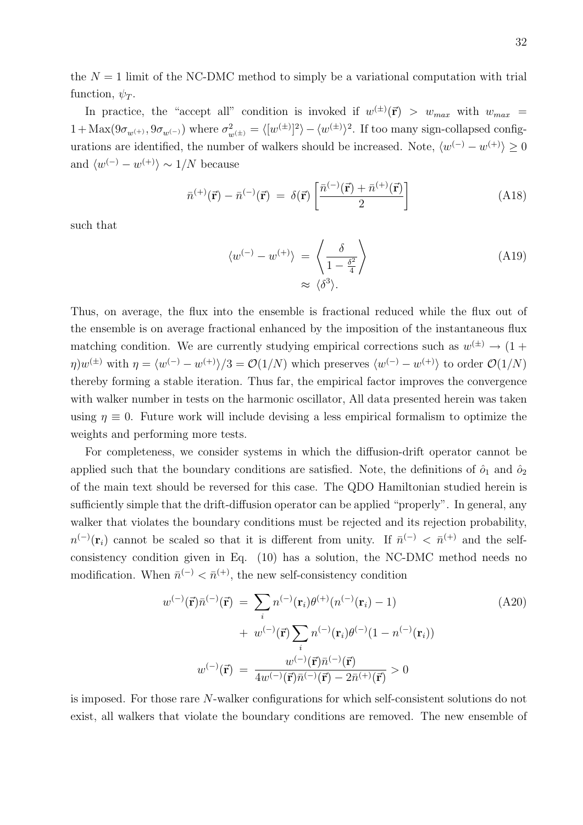the  $N = 1$  limit of the NC-DMC method to simply be a variational computation with trial function,  $\psi_T$ .

In practice, the "accept all" condition is invoked if  $w^{(\pm)}(\vec{r}) > w_{max}$  with  $w_{max}$  $1 + \text{Max}(9\sigma_{w^{(+)}}, 9\sigma_{w^{(-)}})$  where  $\sigma_{w^{(\pm)}}^2 = \langle [w^{(\pm)}]^2 \rangle - \langle w^{(\pm)} \rangle^2$ . If too many sign-collapsed configurations are identified, the number of walkers should be increased. Note,  $\langle w^{(-)} - w^{(+)} \rangle \ge 0$ and  $\langle w^{(-)} - w^{(+)} \rangle \sim 1/N$  because

$$
\bar{n}^{(+)}(\vec{\mathbf{r}}) - \bar{n}^{(-)}(\vec{\mathbf{r}}) = \delta(\vec{\mathbf{r}}) \left[ \frac{\bar{n}^{(-)}(\vec{\mathbf{r}}) + \bar{n}^{(+)}(\vec{\mathbf{r}})}{2} \right]
$$
(A18)

such that

$$
\langle w^{(-)} - w^{(+)} \rangle = \left\langle \frac{\delta}{1 - \frac{\delta^2}{4}} \right\rangle
$$
\n
$$
\approx \langle \delta^3 \rangle.
$$
\n(A19)

Thus, on average, the flux into the ensemble is fractional reduced while the flux out of the ensemble is on average fractional enhanced by the imposition of the instantaneous flux matching condition. We are currently studying empirical corrections such as  $w^{(\pm)} \rightarrow (1 +$  $\eta$ ) $w^{(\pm)}$  with  $\eta = \langle w^{(-)} - w^{(+)} \rangle/3 = \mathcal{O}(1/N)$  which preserves  $\langle w^{(-)} - w^{(+)} \rangle$  to order  $\mathcal{O}(1/N)$ thereby forming a stable iteration. Thus far, the empirical factor improves the convergence with walker number in tests on the harmonic oscillator, All data presented herein was taken using  $\eta \equiv 0$ . Future work will include devising a less empirical formalism to optimize the weights and performing more tests.

For completeness, we consider systems in which the diffusion-drift operator cannot be applied such that the boundary conditions are satisfied. Note, the definitions of  $\hat{\rho}_1$  and  $\hat{\rho}_2$ of the main text should be reversed for this case. The QDO Hamiltonian studied herein is sufficiently simple that the drift-diffusion operator can be applied "properly". In general, any walker that violates the boundary conditions must be rejected and its rejection probability,  $n^{(-)}(\mathbf{r}_i)$  cannot be scaled so that it is different from unity. If  $\bar{n}^{(-)} < \bar{n}^{(+)}$  and the selfconsistency condition given in Eq. (10) has a solution, the NC-DMC method needs no modification. When  $\bar{n}^{(-)} < \bar{n}^{(+)}$ , the new self-consistency condition

$$
w^{(-)}(\vec{\mathbf{r}})\bar{n}^{(-)}(\vec{\mathbf{r}}) = \sum_{i} n^{(-)}(\mathbf{r}_{i})\theta^{(+)}(n^{(-)}(\mathbf{r}_{i}) - 1)
$$
(A20)  
+ 
$$
w^{(-)}(\vec{\mathbf{r}})\sum_{i} n^{(-)}(\mathbf{r}_{i})\theta^{(-)}(1 - n^{(-)}(\mathbf{r}_{i}))
$$

$$
w^{(-)}(\vec{\mathbf{r}}) = \frac{w^{(-)}(\vec{\mathbf{r}})\bar{n}^{(-)}(\vec{\mathbf{r}})}{4w^{(-)}(\vec{\mathbf{r}})\bar{n}^{(-)}(\vec{\mathbf{r}}) - 2\bar{n}^{(+)}(\vec{\mathbf{r}})} > 0
$$

is imposed. For those rare N-walker configurations for which self-consistent solutions do not exist, all walkers that violate the boundary conditions are removed. The new ensemble of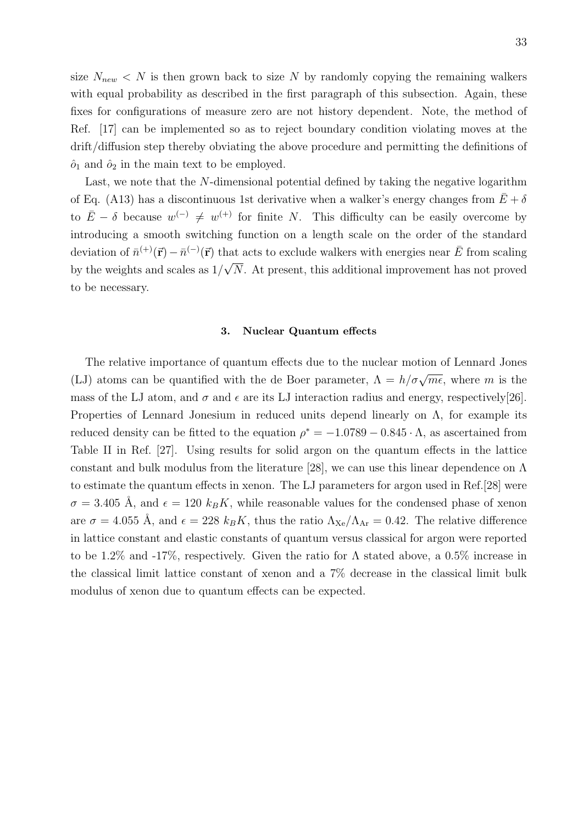size  $N_{new} < N$  is then grown back to size N by randomly copying the remaining walkers with equal probability as described in the first paragraph of this subsection. Again, these fixes for configurations of measure zero are not history dependent. Note, the method of Ref. [17] can be implemented so as to reject boundary condition violating moves at the drift/diffusion step thereby obviating the above procedure and permitting the definitions of  $\hat{o}_1$  and  $\hat{o}_2$  in the main text to be employed.

Last, we note that the N-dimensional potential defined by taking the negative logarithm of Eq. (A13) has a discontinuous 1st derivative when a walker's energy changes from  $\bar{E} + \delta$ to  $\bar{E} - \delta$  because  $w^{(-)} \neq w^{(+)}$  for finite N. This difficulty can be easily overcome by introducing a smooth switching function on a length scale on the order of the standard deviation of  $\bar{n}^{(+)}(\vec{r}) - \bar{n}^{(-)}(\vec{r})$  that acts to exclude walkers with energies near  $\bar{E}$  from scaling by the weights and scales as 1/ √ N. At present, this additional improvement has not proved to be necessary.

#### 3. Nuclear Quantum effects

The relative importance of quantum effects due to the nuclear motion of Lennard Jones (LJ) atoms can be quantified with the de Boer parameter,  $\Lambda = h/\sigma\sqrt{me}$ , where m is the mass of the LJ atom, and  $\sigma$  and  $\epsilon$  are its LJ interaction radius and energy, respectively [26]. Properties of Lennard Jonesium in reduced units depend linearly on  $\Lambda$ , for example its reduced density can be fitted to the equation  $\rho^* = -1.0789 - 0.845 \cdot \Lambda$ , as ascertained from Table II in Ref. [27]. Using results for solid argon on the quantum effects in the lattice constant and bulk modulus from the literature [28], we can use this linear dependence on Λ to estimate the quantum effects in xenon. The LJ parameters for argon used in Ref.[28] were  $\sigma = 3.405$  Å, and  $\epsilon = 120$  k<sub>B</sub>K, while reasonable values for the condensed phase of xenon are  $\sigma = 4.055$  Å, and  $\epsilon = 228$  k<sub>B</sub>K, thus the ratio  $\Lambda_{\text{Xe}}/\Lambda_{\text{Ar}} = 0.42$ . The relative difference in lattice constant and elastic constants of quantum versus classical for argon were reported to be 1.2% and -17%, respectively. Given the ratio for  $\Lambda$  stated above, a 0.5% increase in the classical limit lattice constant of xenon and a 7% decrease in the classical limit bulk modulus of xenon due to quantum effects can be expected.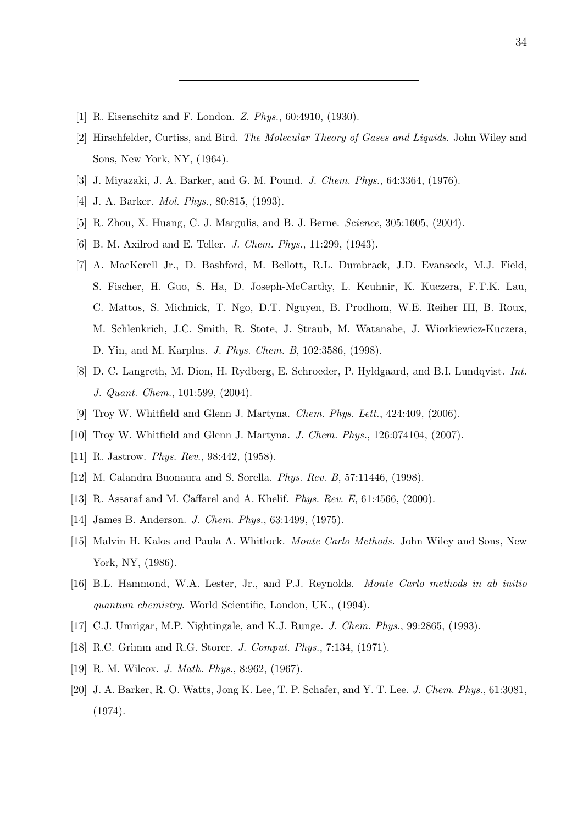- [1] R. Eisenschitz and F. London. Z. Phys., 60:4910, (1930).
- [2] Hirschfelder, Curtiss, and Bird. The Molecular Theory of Gases and Liquids. John Wiley and Sons, New York, NY, (1964).
- [3] J. Miyazaki, J. A. Barker, and G. M. Pound. J. Chem. Phys., 64:3364, (1976).
- [4] J. A. Barker. *Mol. Phys.*, 80:815, (1993).
- [5] R. Zhou, X. Huang, C. J. Margulis, and B. J. Berne. Science, 305:1605, (2004).
- [6] B. M. Axilrod and E. Teller. *J. Chem. Phys.*, 11:299, (1943).
- [7] A. MacKerell Jr., D. Bashford, M. Bellott, R.L. Dumbrack, J.D. Evanseck, M.J. Field, S. Fischer, H. Guo, S. Ha, D. Joseph-McCarthy, L. Kcuhnir, K. Kuczera, F.T.K. Lau, C. Mattos, S. Michnick, T. Ngo, D.T. Nguyen, B. Prodhom, W.E. Reiher III, B. Roux, M. Schlenkrich, J.C. Smith, R. Stote, J. Straub, M. Watanabe, J. Wiorkiewicz-Kuczera, D. Yin, and M. Karplus. J. Phys. Chem. B, 102:3586, (1998).
- [8] D. C. Langreth, M. Dion, H. Rydberg, E. Schroeder, P. Hyldgaard, and B.I. Lundqvist. Int. J. Quant. Chem., 101:599, (2004).
- [9] Troy W. Whitfield and Glenn J. Martyna. Chem. Phys. Lett., 424:409, (2006).
- [10] Troy W. Whitfield and Glenn J. Martyna. *J. Chem. Phys.*, 126:074104, (2007).
- [11] R. Jastrow. *Phys. Rev.*, 98:442, (1958).
- [12] M. Calandra Buonaura and S. Sorella. Phys. Rev. B, 57:11446, (1998).
- [13] R. Assaraf and M. Caffarel and A. Khelif. Phys. Rev. E, 61:4566, (2000).
- [14] James B. Anderson. J. Chem. Phys., 63:1499, (1975).
- [15] Malvin H. Kalos and Paula A. Whitlock. Monte Carlo Methods. John Wiley and Sons, New York, NY, (1986).
- [16] B.L. Hammond, W.A. Lester, Jr., and P.J. Reynolds. Monte Carlo methods in ab initio quantum chemistry. World Scientific, London, UK., (1994).
- [17] C.J. Umrigar, M.P. Nightingale, and K.J. Runge. *J. Chem. Phys.*, 99:2865, (1993).
- [18] R.C. Grimm and R.G. Storer. J. Comput. Phys., 7:134, (1971).
- [19] R. M. Wilcox. *J. Math. Phys.*, 8:962, (1967).
- [20] J. A. Barker, R. O. Watts, Jong K. Lee, T. P. Schafer, and Y. T. Lee. J. Chem. Phys., 61:3081, (1974).